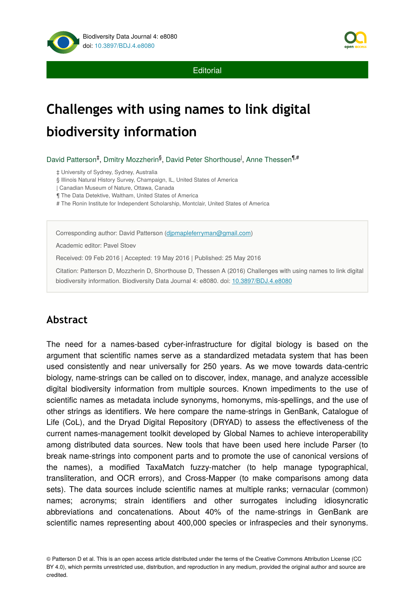

**Editorial** 

# **Challenges with using names to link digital biodiversity information**

David Patterson<sup>‡</sup>, Dmitry Mozzherin<sup>§</sup>, David Peter Shorthouse<sup>l</sup>, Anne Thessen<sup>¶,#</sup>

‡ University of Sydney, Sydney, Australia

§ Illinois Natural History Survey, Champaign, IL, United States of America

| Canadian Museum of Nature, Ottawa, Canada

¶ The Data Detektive, Waltham, United States of America

# The Ronin Institute for Independent Scholarship, Montclair, United States of America

Corresponding author: David Patterson ([djpmapleferryman@gmail.com\)](mailto:djpmapleferryman@gmail.com?subject=Your%20manuscript%20in%20PWT%20#5161/Biodiversity%20Data%20Journal%20#8080)

Academic editor: Pavel Stoev

Received: 09 Feb 2016 | Accepted: 19 May 2016 | Published: 25 May 2016

Citation: Patterson D, Mozzherin D, Shorthouse D, Thessen A (2016) Challenges with using names to link digital biodiversity information. Biodiversity Data Journal 4: e8080. doi: [10.3897/BDJ.4.e8080](http://dx.doi.org/10.3897/BDJ.4.e8080)

# **Abstract**

The need for a names-based cyber-infrastructure for digital biology is based on the argument that scientific names serve as a standardized metadata system that has been used consistently and near universally for 250 years. As we move towards data-centric biology, name-strings can be called on to discover, index, manage, and analyze accessible digital biodiversity information from multiple sources. Known impediments to the use of scientific names as metadata include synonyms, homonyms, mis-spellings, and the use of other strings as identifiers. We here compare the name-strings in GenBank, Catalogue of Life (CoL), and the Dryad Digital Repository (DRYAD) to assess the effectiveness of the current names-management toolkit developed by Global Names to achieve interoperability among distributed data sources. New tools that have been used here include Parser (to break name-strings into component parts and to promote the use of canonical versions of the names), a modified TaxaMatch fuzzy-matcher (to help manage typographical, transliteration, and OCR errors), and Cross-Mapper (to make comparisons among data sets). The data sources include scientific names at multiple ranks; vernacular (common) names; acronyms; strain identifiers and other surrogates including idiosyncratic abbreviations and concatenations. About 40% of the name-strings in GenBank are scientific names representing about 400,000 species or infraspecies and their synonyms.

© Patterson D et al. This is an open access article distributed under the terms of the Creative Commons Attribution License (CC BY 4.0), which permits unrestricted use, distribution, and reproduction in any medium, provided the original author and source are credited.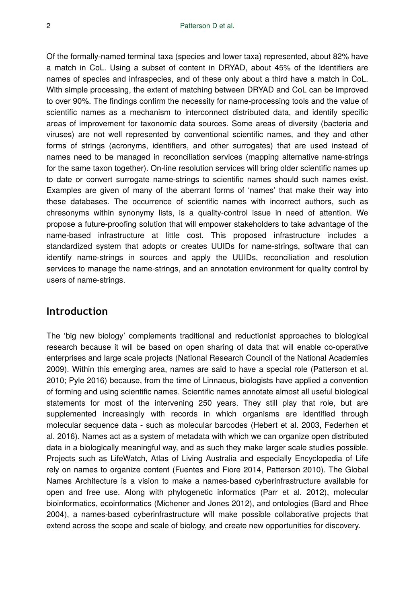Of the formally-named terminal taxa (species and lower taxa) represented, about 82% have a match in CoL. Using a subset of content in DRYAD, about 45% of the identifiers are names of species and infraspecies, and of these only about a third have a match in CoL. With simple processing, the extent of matching between DRYAD and CoL can be improved to over 90%. The findings confirm the necessity for name-processing tools and the value of scientific names as a mechanism to interconnect distributed data, and identify specific areas of improvement for taxonomic data sources. Some areas of diversity (bacteria and viruses) are not well represented by conventional scientific names, and they and other forms of strings (acronyms, identifiers, and other surrogates) that are used instead of names need to be managed in reconciliation services (mapping alternative name-strings for the same taxon together). On-line resolution services will bring older scientific names up to date or convert surrogate name-strings to scientific names should such names exist. Examples are given of many of the aberrant forms of 'names' that make their way into these databases. The occurrence of scientific names with incorrect authors, such as chresonyms within synonymy lists, is a quality-control issue in need of attention. We propose a future-proofing solution that will empower stakeholders to take advantage of the name-based infrastructure at little cost. This proposed infrastructure includes a standardized system that adopts or creates UUIDs for name-strings, software that can identify name-strings in sources and apply the UUIDs, reconciliation and resolution services to manage the name-strings, and an annotation environment for quality control by users of name-strings.

# **Introduction**

The 'big new biology' complements traditional and reductionist approaches to biological research because it will be based on open sharing of data that will enable co-operative enterprises and large scale projects (National Research Council of the National Academies 2009). Within this emerging area, names are said to have a special role (Patterson et al. 2010; Pyle 2016) because, from the time of Linnaeus, biologists have applied a convention of forming and using scientific names. Scientific names annotate almost all useful biological statements for most of the intervening 250 years. They still play that role, but are supplemented increasingly with records in which organisms are identified through molecular sequence data - such as molecular barcodes (Hebert et al. 2003, Federhen et al. 2016). Names act as a system of metadata with which we can organize open distributed data in a biologically meaningful way, and as such they make larger scale studies possible. Projects such as LifeWatch, Atlas of Living Australia and especially Encyclopedia of Life rely on names to organize content (Fuentes and Fiore 2014, Patterson 2010). The Global Names Architecture is a vision to make a names-based cyberinfrastructure available for open and free use. Along with phylogenetic informatics ( Parr et al. 2012), molecular bioinformatics, ecoinformatics (Michener and Jones 2012), and ontologies (Bard and Rhee 2004), a names-based cyberinfrastructure will make possible collaborative projects that extend across the scope and scale of biology, and create new opportunities for discovery.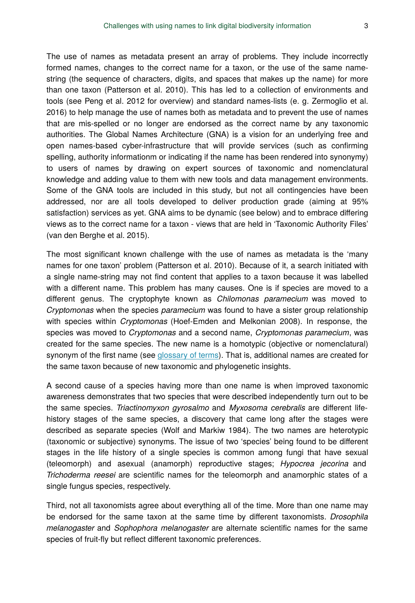The use of names as metadata present an array of problems. They include incorrectly formed names, changes to the correct name for a taxon, or the use of the same namestring (the sequence of characters, digits, and spaces that makes up the name) for more than one taxon (Patterson et al. 2010). This has led to a collection of environments and tools (see Peng et al. 2012 for overview) and standard names-lists (e. g. Zermoglio et al. 2016) to help manage the use of names both as metadata and to prevent the use of names that are mis-spelled or no longer are endorsed as the correct name by any taxonomic authorities. The Global Names Architecture (GNA) is a vision for an underlying free and open names-based cyber-infrastructure that will provide services (such as confirming spelling, authority informationm or indicating if the name has been rendered into synonymy) to users of names by drawing on expert sources of taxonomic and nomenclatural knowledge and adding value to them with new tools and data management environments. Some of the GNA tools are included in this study, but not all contingencies have been addressed, nor are all tools developed to deliver production grade (aiming at 95% satisfaction) services as yet. GNA aims to be dynamic (see below) and to embrace differing views as to the correct name for a taxon - views that are held in 'Taxonomic Authority Files' (van den Berghe et al. 2015).

The most significant known challenge with the use of names as metadata is the 'many names for one taxon' problem (Patterson et al. 2010). Because of it, a search initiated with a single name-string may not find content that applies to a taxon because it was labelled with a different name. This problem has many causes. One is if species are moved to a different genus. The cryptophyte known as *Chilomonas paramecium* was moved to *Cryptomonas* when the species *paramecium* was found to have a sister group relationship with species within *Cryptomonas* (Hoef-Emden and Melkonian 2008). In response, the species was moved to *Cryptomonas* and a second name, *Cryptomonas paramecium*, was created for the same species. The new name is a homotypic (objective or nomenclatural) synonym of the first name (see [glossary of terms](http://globalnames.org/docs/glossary/)). That is, additional names are created for the same taxon because of new taxonomic and phylogenetic insights.

A second cause of a species having more than one name is when improved taxonomic awareness demonstrates that two species that were described independently turn out to be the same species. *Triactinomyxon gyrosalmo* and *Myxosoma cerebralis* are different lifehistory stages of the same species, a discovery that came long after the stages were described as separate species (Wolf and Markiw 1984). The two names are heterotypic (taxonomic or subjective) synonyms. The issue of two 'species' being found to be different stages in the life history of a single species is common among fungi that have sexual (teleomorph) and asexual (anamorph) reproductive stages; *Hypocrea jecorina* and *Trichoderma reesei* are scientific names for the teleomorph and anamorphic states of a single fungus species, respectively.

Third, not all taxonomists agree about everything all of the time. More than one name may be endorsed for the same taxon at the same time by different taxonomists. *Drosophila melanogaster* and *Sophophora melanogaster* are alternate scientific names for the same species of fruit-fly but reflect different taxonomic preferences.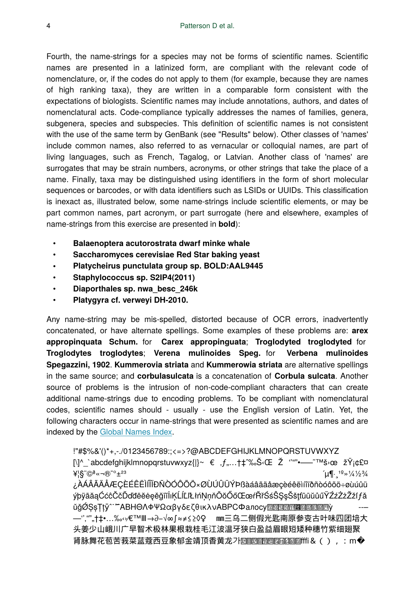Fourth, the name-strings for a species may not be forms of scientific names. Scientific names are presented in a latinized form, are compliant with the relevant code of nomenclature, or, if the codes do not apply to them (for example, because they are names of high ranking taxa), they are written in a comparable form consistent with the expectations of biologists. Scientific names may include annotations, authors, and dates of nomenclatural acts. Code-compliance typically addresses the names of families, genera, subgenera, species and subspecies. This definition of scientific names is not consistent with the use of the same term by GenBank (see "Results" below). Other classes of 'names' include common names, also referred to as vernacular or colloquial names, are part of living languages, such as French, Tagalog, or Latvian. Another class of 'names' are surrogates that may be strain numbers, acronyms, or other strings that take the place of a name. Finally, taxa may be distinguished using identifiers in the form of short molecular sequences or barcodes, or with data identifiers such as LSIDs or UUIDs. This classification is inexact as, illustrated below, some name-strings include scientific elements, or may be part common names, part acronym, or part surrogate (here and elsewhere, examples of name-strings from this exercise are presented in **bold**):

- **Balaenoptera acutorostrata dwarf minke whale**
- **Saccharomyces cerevisiae Red Star baking yeast**
- **Platycheirus punctulata group sp. BOLD:AAL9445**
- **Staphylococcus sp. S2IP4(2011)**
- **Diaporthales sp. nwa\_besc\_246k**
- **Platygyra cf. verweyi DH-2010.**

Any name-string may be mis-spelled, distorted because of OCR errors, inadvertently concatenated, or have alternate spellings. Some examples of these problems are: **arex appropinquata Schum.** for **Carex appropinguata**; **Troglodyted troglodyted** for **Troglodytes troglodytes**; **Verena mulinoides Speg.** for **Verbena mulinoides Spegazzini, 1902**. **Kummerovia striata** and **Kummerowia striata** are alternative spellings in the same source; and **corbulasulcata** is a concatenation of **Corbula sulcata**. Another source of problems is the intrusion of non-code-compliant characters that can create additional name-strings due to encoding problems. To be compliant with nomenclatural codes, scientific names should - usually - use the English version of Latin. Yet, the following characters occur in name-strings that were presented as scientific names and are indexed by the [Global Names Index](http://gni.globalnames.org).

!"#\$%&'()\*+,-./0123456789:;<=>?@ABCDEFGHIJKLMNOPQRSTUVWXYZ  $[\lambda]^{\wedge}$  `abcdefghijklmnopqrstuvwxyz{|}~  $\epsilon$ , f,...  $\uparrow \uparrow \infty$ .  $\check{S}$ ·Œ  $\check{Z}$   $\check{C}$   $\uparrow \infty$   $\check{S}$  and  $\check{S}$   $\check{C}$   $\uparrow$  $\angle$ \{\\apple \lapple \lapple \lapple \lapple \lapple \lapple \lapple \lapple \lapple \lapple \lapple \lapple \lapple \lapple \lapple \lapple \lapple \lapple \lapple \lapple \lapple \lapple \lapple \lapple \lapple \lappl ¿ÀÁÂÃÄÅÆÇÈÉÊËÌÍÎÏÐÑÒÓÔÕÖרÙÚÛÜÝÞßàáâãäåæçèéêëìíîïðñòóôõö÷øùúûü ýþÿāăąĆćĉČčĎďđēĕėęěğīĭİıĶĹ弾ŁłńŅņňŌŏŐőŒœŕŘřŚśŜŞşŠšţťũūŭůűŸŹźŻżŽžſƒǎ ŭğØŞşŢţӯ^¨<sup>≈</sup>ʹΑΒΗΘΛΦΨΩαβγδεζθικλνΑΒΡCΦaлocy<u>അഅഅഅഅ</u> —'''"""†‡•…‰‹›⁄€™Ⅲ→∂−√∞∫≈≠≤≥◊♀ ㎜三乌二侧假光匙南原参变古叶味四团培大 头姜少山峨川广早智术极林果根栽桂毛江波温牙狭白盈益眉眼短矮种穗竹紫细翅聚 肾脉舞花苞苦莪菜蓝蔻西豆象郁金靖顶香黄龙가圞飁躢圝圝圝圝圝醽fffi&(),:m�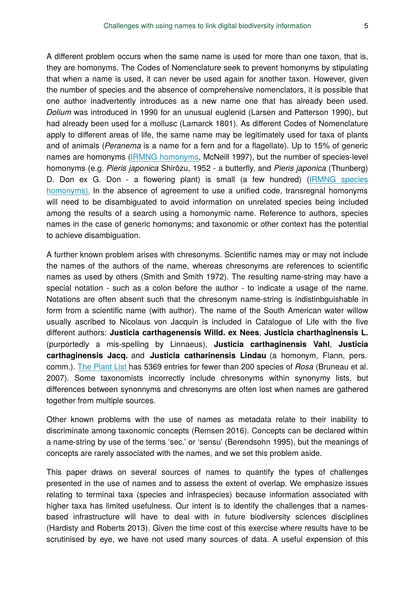A different problem occurs when the same name is used for more than one taxon, that is, they are homonyms. The Codes of Nomenclature seek to prevent homonyms by stipulating that when a name is used, it can never be used again for another taxon. However, given the number of species and the absence of comprehensive nomenclators, it is possible that one author inadvertently introduces as a new name one that has already been used. *Dolium* was introduced in 1990 for an unusual euglenid (Larsen and Patterson 1990), but had already been used for a mollusc (Lamarck 1801). As different Codes of Nomenclature apply to different areas of life, the same name may be legitimately used for taxa of plants and of animals (*Peranema* is a name for a fern and for a flagellate). Up to 15% of generic names are homonyms [\(IRMNG homonyms,](http://www.cmar.csiro.au/datacentre/irmng/homonyms.htm) McNeill 1997), but the number of species-level homonyms (e.g. *Pieris japonica* Shirôzu, 1952 - a butterfly, and *Pieris japonica* (Thunberg) D. Don ex G. Don - a flowering plant) is small (a few hundred) ([IRMNG species](http://www.marine.csiro.au/mirrorsearch/ir_search.list_homonyms?hlevel=species) [homonyms\).](http://www.marine.csiro.au/mirrorsearch/ir_search.list_homonyms?hlevel=species) In the absence of agreement to use a unified code, transregnal homonyms will need to be disambiguated to avoid information on unrelated species being included among the results of a search using a homonymic name. Reference to authors, species names in the case of generic homonyms; and taxonomic or other context has the potential to achieve disambiguation.

A further known problem arises with chresonyms. Scientific names may or may not include the names of the authors of the name, whereas chresonyms are references to scientific names as used by others (Smith and Smith 1972). The resulting name-string may have a special notation - such as a colon before the author - to indicate a usage of the name. Notations are often absent such that the chresonym name-string is indistinbguishable in form from a scientific name (with author). The name of the South American water willow usually ascribed to Nicolaus von Jacquin is included in Catalogue of Life with the five different authors: **Justicia carthagenensis Willd. ex Nees**, **Justicia charthaginensis L.** (purportedly a mis-spelling by Linnaeus), **Justicia carthaginensis Vahl**, **Justicia carthaginensis Jacq.** and **Justicia catharinensis Lindau** (a homonym, Flann, pers. comm.). [The Plant List](http://www.theplantlist.org/) has 5369 entries for fewer than 200 species of *Rosa* (Bruneau et al. 2007). Some taxonomists incorrectly include chresonyms within synonymy lists, but differences between synonnyms and chresonyms are often lost when names are gathered together from multiple sources.

Other known problems with the use of names as metadata relate to their inability to discriminate among taxonomic concepts (Remsen 2016). Concepts can be declared within a name-string by use of the terms 'sec.' or 'sensu' (Berendsohn 1995), but the meanings of concepts are rarely associated with the names, and we set this problem aside.

This paper draws on several sources of names to quantify the types of challenges presented in the use of names and to assess the extent of overlap. We emphasize issues relating to terminal taxa (species and infraspecies) because information associated with higher taxa has limited usefulness. Our intent is to identify the challenges that a namesbased infrastructure will have to deal with in future biodiversity sciences disciplines (Hardisty and Roberts 2013). Given the time cost of this exercise where results have to be scrutinised by eye, we have not used many sources of data. A useful expension of this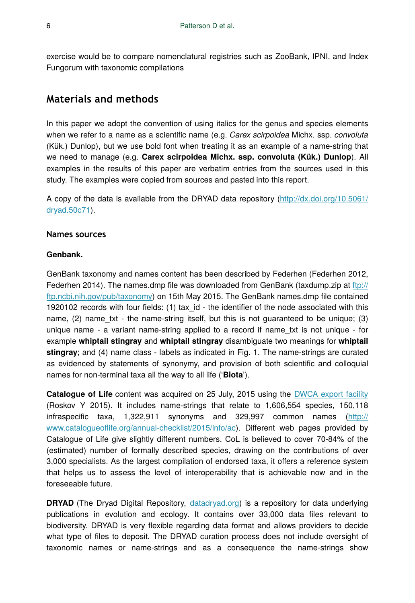exercise would be to compare nomenclatural registries such as ZooBank, IPNI, and Index Fungorum with taxonomic compilations

# **Materials and methods**

In this paper we adopt the convention of using italics for the genus and species elements when we refer to a name as a scientific name (e.g. *Carex scirpoidea* Michx. ssp. *convoluta* (Kük.) Dunlop), but we use bold font when treating it as an example of a name-string that we need to manage (e.g. **Carex scirpoidea Michx. ssp. convoluta (Kük.) Dunlop**). All examples in the results of this paper are verbatim entries from the sources used in this study. The examples were copied from sources and pasted into this report.

A copy of the data is available from the DRYAD data repository ([http://dx.doi.org/10.5061/](http://dx.doi.org/10.5061/dryad.50c71) [dryad.50c71](http://dx.doi.org/10.5061/dryad.50c71)).

### **Names sources**

### **Genbank.**

GenBank taxonomy and names content has been described by Federhen (Federhen 2012, Federhen 2014). The names.dmp file was downloaded from GenBank (taxdump.zip at [ftp://](ftp://ftp.ncbi.nih.gov/pub/taxonomy) [ftp.ncbi.nih.gov/pub/taxonomy\)](ftp://ftp.ncbi.nih.gov/pub/taxonomy) on 15th May 2015. The GenBank names.dmp file contained 1920102 records with four fields: (1) tax\_id - the identifier of the node associated with this name,  $(2)$  name txt - the name-string itself, but this is not guaranteed to be unique;  $(3)$ unique name - a variant name-string applied to a record if name\_txt is not unique - for example **whiptail stingray** and **whiptail stingray** disambiguate two meanings for **whiptail stingray**; and (4) name class - labels as indicated in Fig. 1. The name-strings are curated as evidenced by statements of synonymy, and provision of both scientific and colloquial names for non-terminal taxa all the way to all life ('**Biota**').

**Catalogue of Life** content was acquired on 25 July, 2015 using the [DWCA export facility](http://www.catalogueoflife.org/DCA_Export/) (Roskov Y 2015). It includes name-strings that relate to 1,606,554 species, 150,118 infraspecific taxa, 1,322,911 synonyms and 329,997 common names ([http://](http://www.catalogueoflife.org/annual-checklist/2015/info/ac) www.catalogueofl[ife.org/annual-checklist/2015/info/ac\)](http://www.catalogueoflife.org/annual-checklist/2015/info/ac). Different web pages provided by Catalogue of Life give slightly different numbers. CoL is believed to cover 70-84% of the (estimated) number of formally described species, drawing on the contributions of over 3,000 specialists. As the largest compilation of endorsed taxa, it offers a reference system that helps us to assess the level of interoperability that is achievable now and in the foreseeable future.

**DRYAD** (The Dryad Digital Repository, [datadryad.org\)](http://datadryad.org) is a repository for data underlying publications in evolution and ecology. It contains over 33,000 data files relevant to biodiversity. DRYAD is very flexible regarding data format and allows providers to decide what type of files to deposit. The DRYAD curation process does not include oversight of taxonomic names or name-strings and as a consequence the name-strings show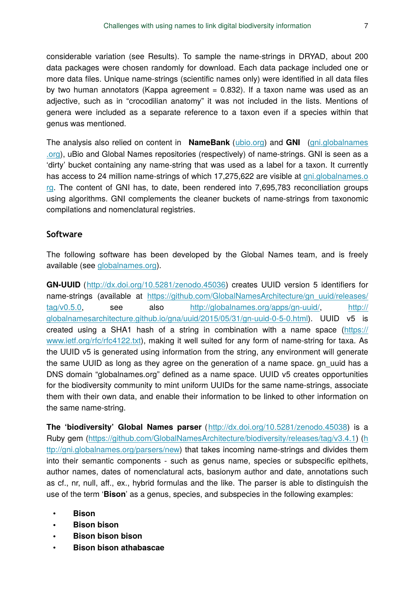considerable variation (see Results). To sample the name-strings in DRYAD, about 200 data packages were chosen randomly for download. Each data package included one or more data files. Unique name-strings (scientific names only) were identified in all data files by two human annotators (Kappa agreement = 0.832). If a taxon name was used as an adjective, such as in "crocodilian anatomy" it was not included in the lists. Mentions of genera were included as a separate reference to a taxon even if a species within that genus was mentioned.

The analysis also relied on content in **NameBank** ([ubio.org](http://ubio.org)) and **GNI** ([gni.globalnames](http://gni.globalnames.org) [.org\)](http://gni.globalnames.org), uBio and Global Names repositories (respectively) of name-strings. GNI is seen as a 'dirty' bucket containing any name-string that was used as a label for a taxon. It currently has access to 24 million name-strings of which 17,275,622 are visible at [gni.globalnames.o](http://gni.globalnames.org) [rg](http://gni.globalnames.org). The content of GNI has, to date, been rendered into 7,695,783 reconciliation groups using algorithms. GNI complements the cleaner buckets of name-strings from taxonomic compilations and nomenclatural registries.

# **Software**

The following software has been developed by the Global Names team, and is freely available (see [globalnames.org\)](http://globalnames.org).

**GN-UUID** (<http://dx.doi.org/10.5281/zenodo.45036>) creates UUID version 5 identifiers for name-strings (available at [https://github.com/GlobalNamesArchitecture/gn\\_uuid/releases/](http://https://github.com/GlobalNamesArchitecture/gn_uuid/releases/tag/v0.5.0) [tag/v0.5.0,](http://https://github.com/GlobalNamesArchitecture/gn_uuid/releases/tag/v0.5.0) see also [http://globalnames.org/apps/gn-uuid/,](http://globalnames.org/apps/gn-uuid/) [http://](http://globalnamesarchitecture.github.io/gna/uuid/2015/05/31/gn-uuid-0-5-0.html) [globalnamesarchitecture.github.io/gna/uuid/2015/05/31/gn-uuid-0-5-0.html](http://globalnamesarchitecture.github.io/gna/uuid/2015/05/31/gn-uuid-0-5-0.html)). UUID v5 is created using a SHA1 hash of a string in combination with a name space [\(https://](https://www.ietf.org/rfc/rfc4122.txt) [www.ietf.org/rfc/rfc4122.txt\)](https://www.ietf.org/rfc/rfc4122.txt), making it well suited for any form of name-string for taxa. As the UUID v5 is generated using information from the string, any environment will generate the same UUID as long as they agree on the generation of a name space, gn\_uuid has a DNS domain "globalnames.org" defined as a name space. UUID v5 creates opportunities for the biodiversity community to mint uniform UUIDs for the same name-strings, associate them with their own data, and enable their information to be linked to other information on the same name-string.

**The 'biodiversity' Global Names parser** ([http://dx.doi.org/10.5281/zenodo.45038\)](http://dx.doi.org/10.5281/zenodo.45038) is a Ruby gem (<https://github.com/GlobalNamesArchitecture/biodiversity/releases/tag/v3.4.1>) [\(h](http://gni.globalnames.org/parsers/new) [ttp://gni.globalnames.org/parsers/new](http://gni.globalnames.org/parsers/new)) that takes incoming name-strings and divides them into their semantic components - such as genus name, species or subspecific epithets, author names, dates of nomenclatural acts, basionym author and date, annotations such as cf., nr, null, aff., ex., hybrid formulas and the like. The parser is able to distinguish the use of the term '**Bison**' as a genus, species, and subspecies in the following examples:

- **Bison**
- **Bison bison**
- **Bison bison bison**
- **Bison bison athabascae**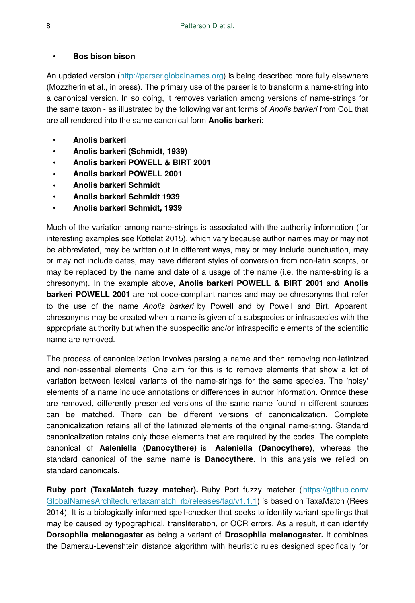#### • **Bos bison bison**

An updated version ([http://parser.globalnames.org\)](http://parser.globalnames.org) is being described more fully elsewhere (Mozzherin et al., in press). The primary use of the parser is to transform a name-string into a canonical version. In so doing, it removes variation among versions of name-strings for the same taxon - as illustrated by the following variant forms of *Anolis barkeri* from CoL that are all rendered into the same canonical form **Anolis barkeri**:

- **Anolis barkeri**
- **Anolis barkeri (Schmidt, 1939)**
- **Anolis barkeri POWELL & BIRT 2001**
- **Anolis barkeri POWELL 2001**
- **Anolis barkeri Schmidt**
- **Anolis barkeri Schmidt 1939**
- **Anolis barkeri Schmidt, 1939**

Much of the variation among name-strings is associated with the authority information (for interesting examples see Kottelat 2015), which vary because author names may or may not be abbreviated, may be written out in different ways, may or may include punctuation, may or may not include dates, may have different styles of conversion from non-latin scripts, or may be replaced by the name and date of a usage of the name (i.e. the name-string is a chresonym). In the example above, **Anolis barkeri POWELL & BIRT 2001** and **Anolis barkeri POWELL 2001** are not code-compliant names and may be chresonyms that refer to the use of the name *Anolis barkeri* by Powell and by Powell and Birt. Apparent chresonyms may be created when a name is given of a subspecies or infraspecies with the appropriate authority but when the subspecific and/or infraspecific elements of the scientific name are removed.

The process of canonicalization involves parsing a name and then removing non-latinized and non-essential elements. One aim for this is to remove elements that show a lot of variation between lexical variants of the name-strings for the same species. The 'noisy' elements of a name include annotations or differences in author information. Onmce these are removed, differently presented versions of the same name found in different sources can be matched. There can be different versions of canonicalization. Complete canonicalization retains all of the latinized elements of the original name-string. Standard canonicalization retains only those elements that are required by the codes. The complete canonical of **Aaleniella (Danocythere)** is **Aaleniella (Danocythere)**, whereas the standard canonical of the same name is **Danocythere**. In this analysis we relied on standard canonicals.

**Ruby port (TaxaMatch fuzzy matcher).** Ruby Port fuzzy matcher ([https://github.com/](https://github.com/GlobalNamesArchitecture/taxamatch_rb/releases/tag/v1.1.1) [GlobalNamesArchitecture/taxamatch\\_rb/releases/tag/v1.1.1\)](https://github.com/GlobalNamesArchitecture/taxamatch_rb/releases/tag/v1.1.1) is based on TaxaMatch (Rees 2014). It is a biologically informed spell-checker that seeks to identify variant spellings that may be caused by typographical, transliteration, or OCR errors. As a result, it can identify **Dorsophila melanogaster** as being a variant of **Drosophila melanogaster.** It combines the Damerau-Levenshtein distance algorithm with heuristic rules designed specifically for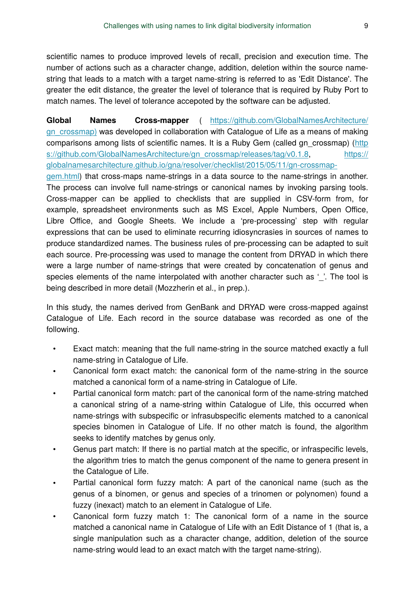scientific names to produce improved levels of recall, precision and execution time. The number of actions such as a character change, addition, deletion within the source namestring that leads to a match with a target name-string is referred to as 'Edit Distance'. The greater the edit distance, the greater the level of tolerance that is required by Ruby Port to match names. The level of tolerance accepoted by the software can be adjusted.

**Global Names Cross-mapper** ( [https://github.com/GlobalNamesArchitecture/](https://github.com/GlobalNamesArchitecture/gn_crossmap) [gn\\_crossmap\)](https://github.com/GlobalNamesArchitecture/gn_crossmap) was developed in collaboration with Catalogue of Life as a means of making comparisons among lists of scientific names. It is a Ruby Gem (called gn\_crossmap) [\(http](https://github.com/GlobalNamesArchitecture/gn_crossmap/releases/tag/v0.1.8) [s://github.com/GlobalNamesArchitecture/gn\\_crossmap/releases/tag/v0.1.8](https://github.com/GlobalNamesArchitecture/gn_crossmap/releases/tag/v0.1.8), [https://](https://globalnamesarchitecture.github.io/gna/resolver/checklist/2015/05/11/gn-crossmap-gem.html) [globalnamesarchitecture.github.io/gna/resolver/checklist/2015/05/11/gn-crossmap-](https://globalnamesarchitecture.github.io/gna/resolver/checklist/2015/05/11/gn-crossmap-gem.html)

[gem.html](https://globalnamesarchitecture.github.io/gna/resolver/checklist/2015/05/11/gn-crossmap-gem.html)) that cross-maps name-strings in a data source to the name-strings in another. The process can involve full name-strings or canonical names by invoking parsing tools. Cross-mapper can be applied to checklists that are supplied in CSV-form from, for example, spreadsheet environments such as MS Excel, Apple Numbers, Open Office, Libre Office, and Google Sheets. We include a 'pre-processing' step with regular expressions that can be used to eliminate recurring idiosyncrasies in sources of names to produce standardized names. The business rules of pre-processing can be adapted to suit each source. Pre-processing was used to manage the content from DRYAD in which there were a large number of name-strings that were created by concatenation of genus and species elements of the name interpolated with another character such as '. The tool is being described in more detail (Mozzherin et al., in prep.).

In this study, the names derived from GenBank and DRYAD were cross-mapped against Catalogue of Life. Each record in the source database was recorded as one of the following.

- Exact match: meaning that the full name-string in the source matched exactly a full name-string in Catalogue of Life.
- Canonical form exact match: the canonical form of the name-string in the source matched a canonical form of a name-string in Catalogue of Life.
- Partial canonical form match: part of the canonical form of the name-string matched a canonical string of a name-string within Catalogue of Life, this occurred when name-strings with subspecific or infrasubspecific elements matched to a canonical species binomen in Catalogue of Life. If no other match is found, the algorithm seeks to identify matches by genus only.
- Genus part match: If there is no partial match at the specific, or infraspecific levels, the algorithm tries to match the genus component of the name to genera present in the Catalogue of Life.
- Partial canonical form fuzzy match: A part of the canonical name (such as the genus of a binomen, or genus and species of a trinomen or polynomen) found a fuzzy (inexact) match to an element in Catalogue of Life.
- Canonical form fuzzy match 1: The canonical form of a name in the source matched a canonical name in Catalogue of Life with an Edit Distance of 1 (that is, a single manipulation such as a character change, addition, deletion of the source name-string would lead to an exact match with the target name-string).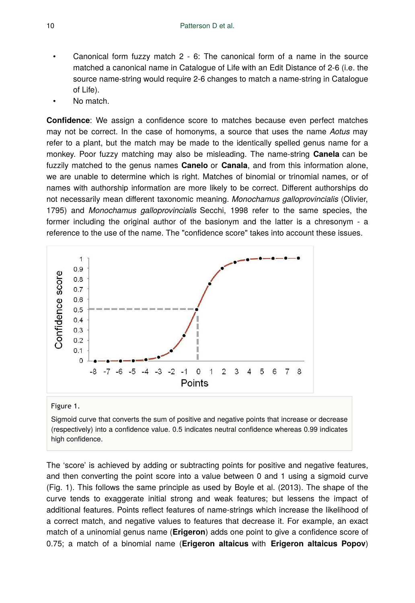- Canonical form fuzzy match 2 6: The canonical form of a name in the source matched a canonical name in Catalogue of Life with an Edit Distance of 2-6 (i.e. the source name-string would require 2-6 changes to match a name-string in Catalogue of Life).
- No match.

**Confidence**: We assign a confidence score to matches because even perfect matches may not be correct. In the case of homonyms, a source that uses the name *Aotus* may refer to a plant, but the match may be made to the identically spelled genus name for a monkey. Poor fuzzy matching may also be misleading. The name-string **Canela** can be fuzzily matched to the genus names **Canelo** or **Canala**, and from this information alone, we are unable to determine which is right. Matches of binomial or trinomial names, or of names with authorship information are more likely to be correct. Different authorships do not necessarily mean different taxonomic meaning. *Monochamus galloprovincialis* (Olivier, 1795) and *Monochamus galloprovincialis* Secchi, 1998 refer to the same species, the former including the original author of the basionym and the latter is a chresonym - a reference to the use of the name. The "confidence score" takes into account these issues.



#### Figure 1.

Sigmoid curve that converts the sum of positive and negative points that increase or decrease (respectively) into a confidence value. 0.5 indicates neutral confidence whereas 0.99 indicates high confidence.

The 'score' is achieved by adding or subtracting points for positive and negative features, and then converting the point score into a value between 0 and 1 using a sigmoid curve (Fig. 1). This follows the same principle as used by Boyle et al. (2013). The shape of the curve tends to exaggerate initial strong and weak features; but lessens the impact of additional features. Points reflect features of name-strings which increase the likelihood of a correct match, and negative values to features that decrease it. For example, an exact match of a uninomial genus name (**Erigeron**) adds one point to give a confidence score of 0.75; a match of a binomial name (**Erigeron altaicus** with **Erigeron altaicus Popov**)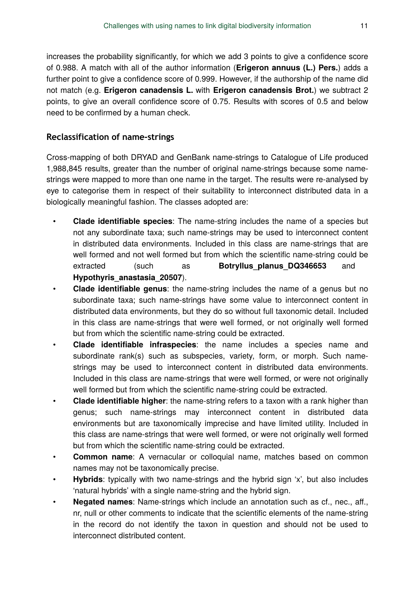increases the probability significantly, for which we add 3 points to give a confidence score of 0.988. A match with all of the author information (**Erigeron annuus (L.) Pers.**) adds a further point to give a confidence score of 0.999. However, if the authorship of the name did not match (e.g. **Erigeron canadensis L.** with **Erigeron canadensis Brot.**) we subtract 2 points, to give an overall confidence score of 0.75. Results with scores of 0.5 and below need to be confirmed by a human check.

# **Reclassification of name-strings**

Cross-mapping of both DRYAD and GenBank name-strings to Catalogue of Life produced 1,988,845 results, greater than the number of original name-strings because some namestrings were mapped to more than one name in the target. The results were re-analysed by eye to categorise them in respect of their suitability to interconnect distributed data in a biologically meaningful fashion. The classes adopted are:

- **Clade identifiable species**: The name-string includes the name of a species but not any subordinate taxa; such name-strings may be used to interconnect content in distributed data environments. Included in this class are name-strings that are well formed and not well formed but from which the scientific name-string could be extracted (such as **Botryllus planus DQ346653** and **Hypothyris\_anastasia\_20507**).
- **Clade identifiable genus**: the name-string includes the name of a genus but no subordinate taxa; such name-strings have some value to interconnect content in distributed data environments, but they do so without full taxonomic detail. Included in this class are name-strings that were well formed, or not originally well formed but from which the scientific name-string could be extracted.
- **Clade identifiable infraspecies**: the name includes a species name and subordinate rank(s) such as subspecies, variety, form, or morph. Such namestrings may be used to interconnect content in distributed data environments. Included in this class are name-strings that were well formed, or were not originally well formed but from which the scientific name-string could be extracted.
- **Clade identifiable higher**: the name-string refers to a taxon with a rank higher than genus; such name-strings may interconnect content in distributed data environments but are taxonomically imprecise and have limited utility. Included in this class are name-strings that were well formed, or were not originally well formed but from which the scientific name-string could be extracted.
- **Common name**: A vernacular or colloquial name, matches based on common names may not be taxonomically precise.
- **Hybrids**: typically with two name-strings and the hybrid sign 'x', but also includes 'natural hybrids' with a single name-string and the hybrid sign.
- **Negated names**: Name-strings which include an annotation such as cf., nec., aff., nr, null or other comments to indicate that the scientific elements of the name-string in the record do not identify the taxon in question and should not be used to interconnect distributed content.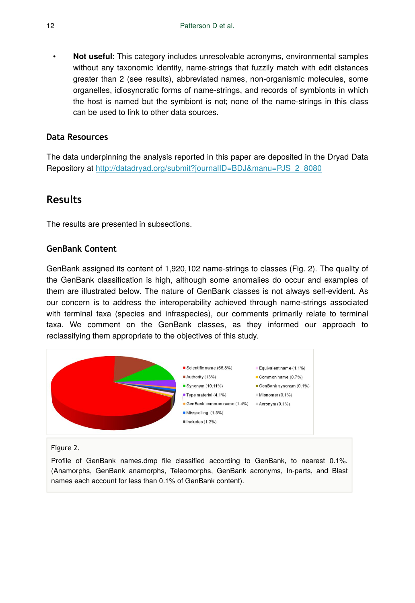• **Not useful**: This category includes unresolvable acronyms, environmental samples without any taxonomic identity, name-strings that fuzzily match with edit distances greater than 2 (see results), abbreviated names, non-organismic molecules, some organelles, idiosyncratic forms of name-strings, and records of symbionts in which the host is named but the symbiont is not; none of the name-strings in this class can be used to link to other data sources.

# **Data Resources**

The data underpinning the analysis reported in this paper are deposited in the Dryad Data Repository at [http://datadryad.org/submit?journalID=BDJ&manu=PJS\\_2\\_8080](http://datadryad.org/submit?journalID=BDJ&manu=PJS_2_8080)

# **Results**

The results are presented in subsections.

# **GenBank Content**

GenBank assigned its content of 1,920,102 name-strings to classes (Fig. 2). The quality of the GenBank classification is high, although some anomalies do occur and examples of them are illustrated below. The nature of GenBank classes is not always self-evident. As our concern is to address the interoperability achieved through name-strings associated with terminal taxa (species and infraspecies), our comments primarily relate to terminal taxa. We comment on the GenBank classes, as they informed our approach to reclassifying them appropriate to the objectives of this study.



#### Figure 2.

Profile of GenBank names.dmp file classified according to GenBank, to nearest 0.1%. (Anamorphs, GenBank anamorphs, Teleomorphs, GenBank acronyms, In-parts, and Blast names each account for less than 0.1% of GenBank content).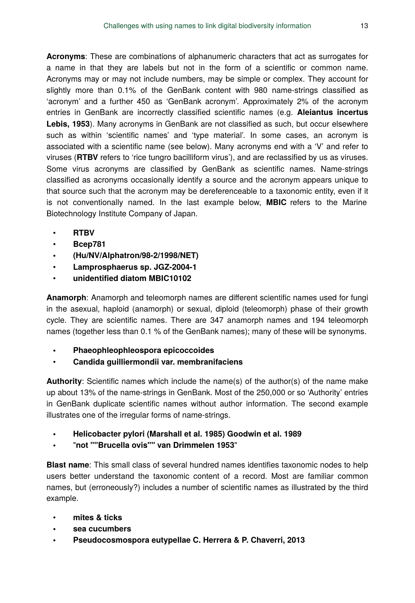**Acronyms**: These are combinations of alphanumeric characters that act as surrogates for a name in that they are labels but not in the form of a scientific or common name. Acronyms may or may not include numbers, may be simple or complex. They account for slightly more than 0.1% of the GenBank content with 980 name-strings classified as 'acronym' and a further 450 as 'GenBank acronym'. Approximately 2% of the acronym entries in GenBank are incorrectly classified scientific names (e.g. **Aleiantus incertus Lebis, 1953**). Many acronyms in GenBank are not classified as such, but occur elsewhere such as within 'scientific names' and 'type material'. In some cases, an acronym is associated with a scientific name (see below). Many acronyms end with a 'V' and refer to viruses (**RTBV** refers to 'rice tungro bacilliform virus'), and are reclassified by us as viruses. Some virus acronyms are classified by GenBank as scientific names. Name-strings classified as acronyms occasionally identify a source and the acronym appears unique to that source such that the acronym may be dereferenceable to a taxonomic entity, even if it is not conventionally named. In the last example below, **MBIC** refers to the Marine Biotechnology Institute Company of Japan.

- **RTBV**
- **Bcep781**
- **(Hu/NV/Alphatron/98-2/1998/NET)**
- **Lamprosphaerus sp. JGZ-2004-1**
- **unidentified diatom MBIC10102**

**Anamorph**: Anamorph and teleomorph names are different scientific names used for fungi in the asexual, haploid (anamorph) or sexual, diploid (teleomorph) phase of their growth cycle. They are scientific names. There are 347 anamorph names and 194 teleomorph names (together less than 0.1 % of the GenBank names); many of these will be synonyms.

- **Phaeophleophleospora epicoccoides**
- **Candida guilliermondii var. membranifaciens**

**Authority**: Scientific names which include the name(s) of the author(s) of the name make up about 13% of the name-strings in GenBank. Most of the 250,000 or so 'Authority' entries in GenBank duplicate scientific names without author information. The second example illustrates one of the irregular forms of name-strings.

- **Helicobacter pylori (Marshall et al. 1985) Goodwin et al. 1989**
- "**not ""Brucella ovis"" van Drimmelen 1953**"

**Blast name**: This small class of several hundred names identifies taxonomic nodes to help users better understand the taxonomic content of a record. Most are familiar common names, but (erroneously?) includes a number of scientific names as illustrated by the third example.

- **mites & ticks**
- **sea cucumbers**
- **Pseudocosmospora eutypellae C. Herrera & P. Chaverri, 2013**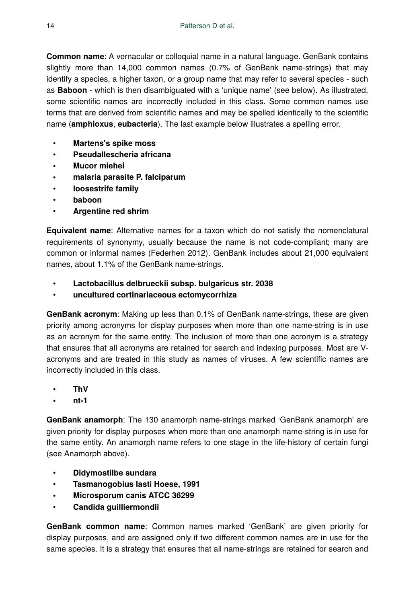**Common name**: A vernacular or colloquial name in a natural language. GenBank contains slightly more than 14,000 common names (0.7% of GenBank name-strings) that may identify a species, a higher taxon, or a group name that may refer to several species - such as **Baboon** - which is then disambiguated with a 'unique name' (see below). As illustrated, some scientific names are incorrectly included in this class. Some common names use terms that are derived from scientific names and may be spelled identically to the scientific name (**amphioxus**, **eubacteria**). The last example below illustrates a spelling error.

- **Martens's spike moss**
- **Pseudallescheria africana**
- **Mucor miehei**
- **malaria parasite P. falciparum**
- **loosestrife family**
- **baboon**
- **Argentine red shrim**

**Equivalent name**: Alternative names for a taxon which do not satisfy the nomenclatural requirements of synonymy, usually because the name is not code-compliant; many are common or informal names (Federhen 2012). GenBank includes about 21,000 equivalent names, about 1.1% of the GenBank name-strings.

- **Lactobacillus delbrueckii subsp. bulgaricus str. 2038**
- **uncultured cortinariaceous ectomycorrhiza**

**GenBank acronym**: Making up less than 0.1% of GenBank name-strings, these are given priority among acronyms for display purposes when more than one name-string is in use as an acronym for the same entity. The inclusion of more than one acronym is a strategy that ensures that all acronyms are retained for search and indexing purposes. Most are Vacronyms and are treated in this study as names of viruses. A few scientific names are incorrectly included in this class.

- **ThV**
- **nt-1**

**GenBank anamorph**: The 130 anamorph name-strings marked 'GenBank anamorph' are given priority for display purposes when more than one anamorph name-string is in use for the same entity. An anamorph name refers to one stage in the life-history of certain fungi (see Anamorph above).

- **Didymostilbe sundara**
- **Tasmanogobius lasti Hoese, 1991**
- **Microsporum canis ATCC 36299**
- **Candida guilliermondii**

**GenBank common name**: Common names marked 'GenBank' are given priority for display purposes, and are assigned only if two different common names are in use for the same species. It is a strategy that ensures that all name-strings are retained for search and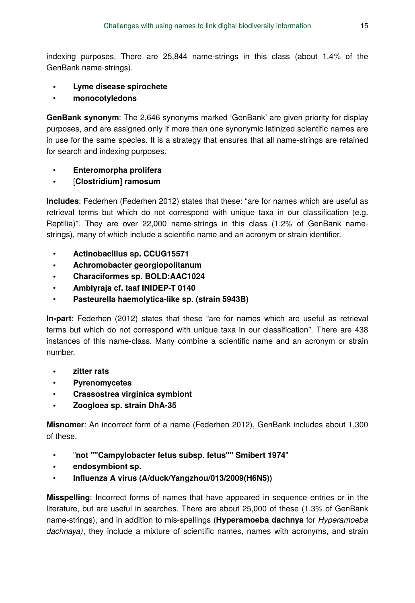indexing purposes. There are 25,844 name-strings in this class (about 1.4% of the GenBank name-strings).

- **Lyme disease spirochete**
- **monocotyledons**

**GenBank synonym**: The 2,646 synonyms marked 'GenBank' are given priority for display purposes, and are assigned only if more than one synonymic latinized scientific names are in use for the same species. It is a strategy that ensures that all name-strings are retained for search and indexing purposes.

- **Enteromorpha prolifera**
- [**Clostridium] ramosum**

**Includes**: Federhen (Federhen 2012) states that these: "are for names which are useful as retrieval terms but which do not correspond with unique taxa in our classification (e.g. Reptilia)". They are over 22,000 name-strings in this class (1.2% of GenBank namestrings), many of which include a scientific name and an acronym or strain identifier.

- **Actinobacillus sp. CCUG15571**
- **Achromobacter georgiopolitanum**
- **Characiformes sp. BOLD:AAC1024**
- **Amblyraja cf. taaf INIDEP-T 0140**
- **Pasteurella haemolytica-like sp. (strain 5943B)**

**In-part**: Federhen (2012) states that these "are for names which are useful as retrieval terms but which do not correspond with unique taxa in our classification". There are 438 instances of this name-class. Many combine a scientific name and an acronym or strain number.

- **zitter rats**
- **Pyrenomycetes**
- **Crassostrea virginica symbiont**
- **Zoogloea sp. strain DhA-35**

**Misnomer**: An incorrect form of a name (Federhen 2012), GenBank includes about 1,300 of these.

- "**not ""Campylobacter fetus subsp. fetus"" Smibert 1974**"
- **endosymbiont sp.**
- **Influenza A virus (A/duck/Yangzhou/013/2009(H6N5))**

**Misspelling**: Incorrect forms of names that have appeared in sequence entries or in the literature, but are useful in searches. There are about 25,000 of these (1.3% of GenBank name-strings), and in addition to mis-spellings (**Hyperamoeba dachnya** for *Hyperamoeba dachnaya)*, they include a mixture of scientific names, names with acronyms, and strain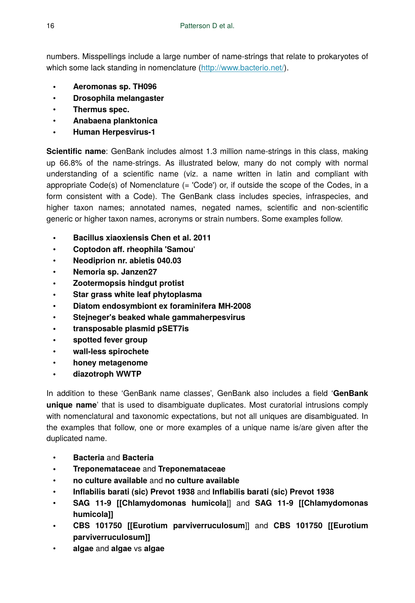numbers. Misspellings include a large number of name-strings that relate to prokaryotes of which some lack standing in nomenclature (<http://www.bacterio.net/>).

- **Aeromonas sp. TH096**
- **Drosophila melangaster**
- **Thermus spec.**
- **Anabaena planktonica**
- **Human Herpesvirus-1**

**Scientific name**: GenBank includes almost 1.3 million name-strings in this class, making up 66.8% of the name-strings. As illustrated below, many do not comply with normal understanding of a scientific name (viz. a name written in latin and compliant with appropriate Code(s) of Nomenclature (= 'Code') or, if outside the scope of the Codes, in a form consistent with a Code). The GenBank class includes species, infraspecies, and higher taxon names; annotated names, negated names, scientific and non-scientific generic or higher taxon names, acronyms or strain numbers. Some examples follow.

- **Bacillus xiaoxiensis Chen et al. 2011**
- **Coptodon aff. rheophila 'Samou**'
- **Neodiprion nr. abietis 040.03**
- **Nemoria sp. Janzen27**
- **Zootermopsis hindgut protist**
- **Star grass white leaf phytoplasma**
- **Diatom endosymbiont ex foraminifera MH-2008**
- **Stejneger's beaked whale gammaherpesvirus**
- **transposable plasmid pSET7is**
- **spotted fever group**
- **wall-less spirochete**
- **honey metagenome**
- **diazotroph WWTP**

In addition to these 'GenBank name classes', GenBank also includes a field '**GenBank unique name**' that is used to disambiguate duplicates. Most curatorial intrusions comply with nomenclatural and taxonomic expectations, but not all uniques are disambiguated. In the examples that follow, one or more examples of a unique name is/are given after the duplicated name.

- **Bacteria** and **Bacteria**
- **Treponemataceae** and **Treponemataceae**
- **no culture available** and **no culture available**
- **Inflabilis barati (sic) Prevot 1938** and **Inflabilis barati (sic) Prevot 1938**
- **SAG 11-9 [[Chlamydomonas humicola**]] and **SAG 11-9 [[Chlamydomonas humicola]]**
- **CBS 101750 [[Eurotium parviverruculosum**]] and **CBS 101750 [[Eurotium parviverruculosum]]**
- **algae** and **algae** vs **algae**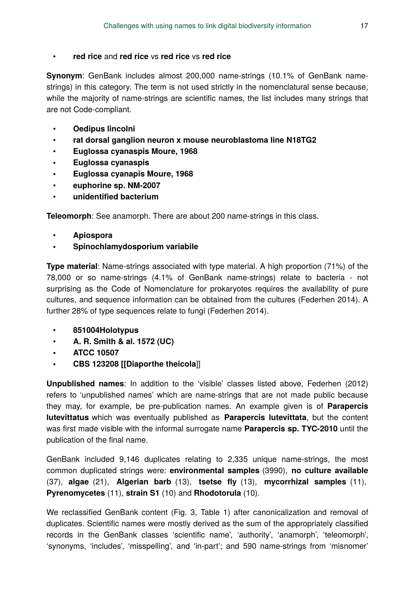### • **red rice** and **red rice** vs **red rice** vs **red rice**

**Synonym**: GenBank includes almost 200,000 name-strings (10.1% of GenBank namestrings) in this category. The term is not used strictly in the nomenclatural sense because, while the majority of name-strings are scientific names, the list includes many strings that are not Code-compliant.

- **Oedipus lincolni**
- **rat dorsal ganglion neuron x mouse neuroblastoma line N18TG2**
- **Euglossa cyanaspis Moure, 1968**
- **Euglossa cyanaspis**
- **Euglossa cyanapis Moure, 1968**
- **euphorine sp. NM-2007**
- **unidentified bacterium**

**Teleomorph**: See anamorph. There are about 200 name-strings in this class.

- **Apiospora**
- **Spinochlamydosporium variabile**

**Type material**: Name-strings associated with type material. A high proportion (71%) of the 78,000 or so name-strings (4.1% of GenBank name-strings) relate to bacteria - not surprising as the Code of Nomenclature for prokaryotes requires the availability of pure cultures, and sequence information can be obtained from the cultures (Federhen 2014). A further 28% of type sequences relate to fungi (Federhen 2014).

- **851004Holotypus**
- **A. R. Smith & al. 1572 (UC)**
- **ATCC 10507**
- **CBS 123208 [[Diaporthe theicola**]]

**Unpublished names**: In addition to the 'visible' classes listed above, Federhen (2012) refers to 'unpublished names' which are name-strings that are not made public because they may, for example, be pre-publication names. An example given is of **Parapercis lutevittatus** which was eventually published as **Parapercis lutevittata**, but the content was first made visible with the informal surrogate name **Parapercis sp. TYC-2010** until the publication of the final name.

GenBank included 9,146 duplicates relating to 2,335 unique name-strings, the most common duplicated strings were: **environmental samples** (3990), **no culture available** (37), **algae** (21), **Algerian barb** (13), **tsetse fly** (13), **mycorrhizal samples** (11), **Pyrenomycetes** (11), **strain S1** (10) and **Rhodotorula** (10).

We reclassified GenBank content (Fig. 3, Table 1) after canonicalization and removal of duplicates. Scientific names were mostly derived as the sum of the appropriately classified records in the GenBank classes 'scientific name', 'authority', 'anamorph', 'teleomorph', 'synonyms, 'includes', 'misspelling', and 'in-part'; and 590 name-strings from 'misnomer'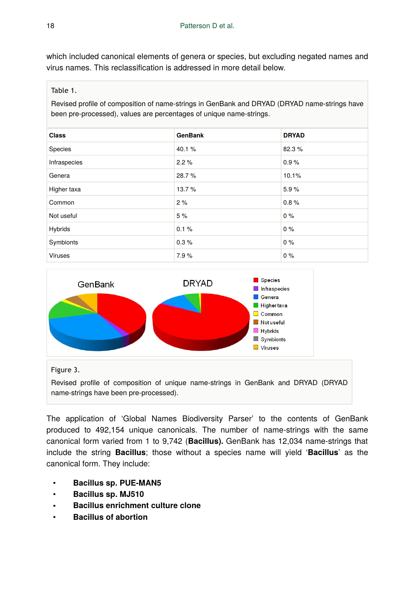which included canonical elements of genera or species, but excluding negated names and virus names. This reclassification is addressed in more detail below.

#### Table 1.

Revised profile of composition of name-strings in GenBank and DRYAD (DRYAD name-strings have been pre-processed), values are percentages of unique name-strings.

| <b>Class</b> | <b>GenBank</b> | <b>DRYAD</b> |
|--------------|----------------|--------------|
| Species      | 40.1%          | 82.3%        |
| Infraspecies | 2.2%           | 0.9%         |
| Genera       | 28.7%          | 10.1%        |
| Higher taxa  | 13.7%          | 5.9%         |
| Common       | 2%             | 0.8%         |
| Not useful   | 5%             | $0\%$        |
| Hybrids      | 0.1%           | 0%           |
| Symbionts    | 0.3%           | 0%           |
| Viruses      | 7.9%           | 0%           |



#### Figure 3.

Revised profile of composition of unique name-strings in GenBank and DRYAD (DRYAD name-strings have been pre-processed).

The application of 'Global Names Biodiversity Parser' to the contents of GenBank produced to 492,154 unique canonicals. The number of name-strings with the same canonical form varied from 1 to 9,742 (**Bacillus).** GenBank has 12,034 name-strings that include the string **Bacillus**; those without a species name will yield '**Bacillus**' as the canonical form. They include:

- **Bacillus sp. PUE-MAN5**
- **Bacillus sp. MJ510**
- **Bacillus enrichment culture clone**
- **Bacillus of abortion**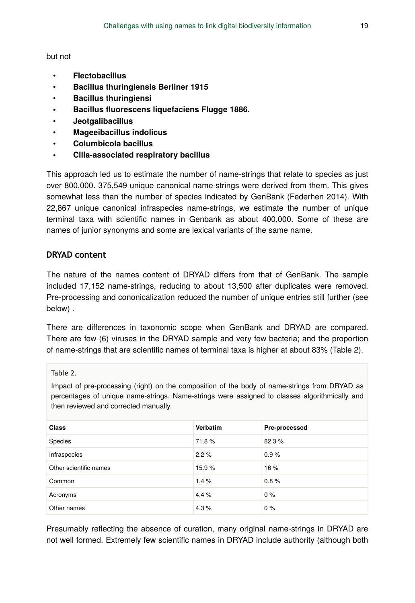but not

- **Flectobacillus**
- **Bacillus thuringiensis Berliner 1915**
- **Bacillus thuringiensi**
- **Bacillus fluorescens liquefaciens Flugge 1886.**
- **Jeotgalibacillus**
- **Mageeibacillus indolicus**
- **Columbicola bacillus**
- **Cilia-associated respiratory bacillus**

This approach led us to estimate the number of name-strings that relate to species as just over 800,000. 375,549 unique canonical name-strings were derived from them. This gives somewhat less than the number of species indicated by GenBank (Federhen 2014). With 22,867 unique canonical infraspecies name-strings, we estimate the number of unique terminal taxa with scientific names in Genbank as about 400,000. Some of these are names of junior synonyms and some are lexical variants of the same name.

### **DRYAD content**

The nature of the names content of DRYAD differs from that of GenBank. The sample included 17,152 name-strings, reducing to about 13,500 after duplicates were removed. Pre-processing and cononicalization reduced the number of unique entries still further (see below) .

There are differences in taxonomic scope when GenBank and DRYAD are compared. There are few (6) viruses in the DRYAD sample and very few bacteria; and the proportion of name-strings that are scientific names of terminal taxa is higher at about 83% (Table 2).

Table 2.

Impact of pre-processing (right) on the composition of the body of name-strings from DRYAD as percentages of unique name-strings. Name-strings were assigned to classes algorithmically and then reviewed and corrected manually.

| <b>Class</b>           | <b>Verbatim</b> | Pre-processed |
|------------------------|-----------------|---------------|
| Species                | 71.8%           | 82.3%         |
| Infraspecies           | 2.2%            | 0.9%          |
| Other scientific names | 15.9%           | 16%           |
| Common                 | 1.4%            | 0.8%          |
| Acronyms               | 4.4%            | $0\%$         |
| Other names            | 4.3%            | 0%            |

Presumably reflecting the absence of curation, many original name-strings in DRYAD are not well formed. Extremely few scientific names in DRYAD include authority (although both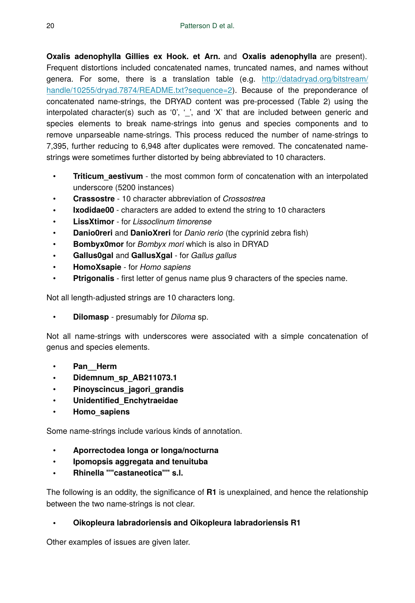**Oxalis adenophylla Gillies ex Hook. et Arn.** and **Oxalis adenophylla** are present). Frequent distortions included concatenated names, truncated names, and names without genera. For some, there is a translation table (e.g. [http://datadryad.org/bitstream/](http://datadryad.org/bitstream/handle/10255/dryad.7874/README.txt?sequence=2) [handle/10255/dryad.7874/README.txt?sequence=2\)](http://datadryad.org/bitstream/handle/10255/dryad.7874/README.txt?sequence=2). Because of the preponderance of concatenated name-strings, the DRYAD content was pre-processed (Table 2) using the interpolated character(s) such as '0', '\_', and 'X' that are included between generic and species elements to break name-strings into genus and species components and to remove unparseable name-strings. This process reduced the number of name-strings to 7,395, further reducing to 6,948 after duplicates were removed. The concatenated namestrings were sometimes further distorted by being abbreviated to 10 characters.

- **Triticum aestivum** the most common form of concatenation with an interpolated underscore (5200 instances)
- **Crassostre** 10 character abbreviation of *Crossostrea*
- **Ixodidae00** characters are added to extend the string to 10 characters
- **LissXtimor** for *Lissoclinum timorense*
- **Danio0reri** and **DanioXreri** for *Danio rerio* (the cyprinid zebra fish)
- **Bombyx0mor** for *Bombyx mori* which is also in DRYAD
- **Gallus0gal** and **GallusXgal** for *Gallus gallus*
- **HomoXsapie** for *Homo sapiens*
- **Ptrigonalis** first letter of genus name plus 9 characters of the species name.

Not all length-adjusted strings are 10 characters long.

• **Dilomasp** - presumably for *Diloma* sp.

Not all name-strings with underscores were associated with a simple concatenation of genus and species elements.

- Pan Herm
- **Didemnum\_sp\_AB211073.1**
- **Pinoyscincus\_jagori\_grandis**
- **Unidentified\_Enchytraeidae**
- **Homo\_sapiens**

Some name-strings include various kinds of annotation.

- **Aporrectodea longa or longa/nocturna**
- **Ipomopsis aggregata and tenuituba**
- **Rhinella ""castaneotica"" s.l.**

The following is an oddity, the significance of **R1** is unexplained, and hence the relationship between the two name-strings is not clear.

# • **Oikopleura labradoriensis and Oikopleura labradoriensis R1**

Other examples of issues are given later.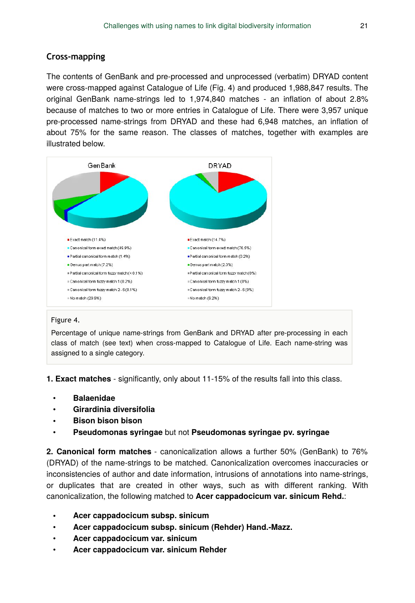# **Cross-mapping**

The contents of GenBank and pre-processed and unprocessed (verbatim) DRYAD content were cross-mapped against Catalogue of Life (Fig. 4) and produced 1,988,847 results. The original GenBank name-strings led to 1,974,840 matches - an inflation of about 2.8% because of matches to two or more entries in Catalogue of Life. There were 3,957 unique pre-processed name-strings from DRYAD and these had 6,948 matches, an inflation of about 75% for the same reason. The classes of matches, together with examples are illustrated below.



#### Figure 4.

Percentage of unique name-strings from GenBank and DRYAD after pre-processing in each class of match (see text) when cross-mapped to Catalogue of Life. Each name-string was assigned to a single category.

**1. Exact matches** - significantly, only about 11-15% of the results fall into this class.

- **Balaenidae**
- **Girardinia diversifolia**
- **Bison bison bison**
- **Pseudomonas syringae** but not **Pseudomonas syringae pv. syringae**

**2. Canonical form matches** - canonicalization allows a further 50% (GenBank) to 76% (DRYAD) of the name-strings to be matched. Canonicalization overcomes inaccuracies or inconsistencies of author and date information, intrusions of annotations into name-strings, or duplicates that are created in other ways, such as with different ranking. With canonicalization, the following matched to **Acer cappadocicum var. sinicum Rehd.**:

- **Acer cappadocicum subsp. sinicum**
- **Acer cappadocicum subsp. sinicum (Rehder) Hand.-Mazz.**
- **Acer cappadocicum var. sinicum**
- **Acer cappadocicum var. sinicum Rehder**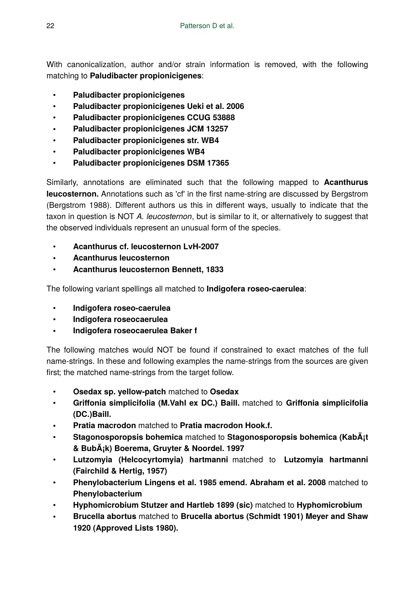With canonicalization, author and/or strain information is removed, with the following matching to **Paludibacter propionicigenes**:

- **Paludibacter propionicigenes**
- **Paludibacter propionicigenes Ueki et al. 2006**
- **Paludibacter propionicigenes CCUG 53888**
- **Paludibacter propionicigenes JCM 13257**
- **Paludibacter propionicigenes str. WB4**
- **Paludibacter propionicigenes WB4**
- **Paludibacter propionicigenes DSM 17365**

Similarly, annotations are eliminated such that the following mapped to **Acanthurus leucosternon.** Annotations such as 'cf' in the first name-string are discussed by Bergstrom (Bergstrom 1988). Different authors us this in different ways, usually to indicate that the taxon in question is NOT *A. leucosternon*, but is similar to it, or alternatively to suggest that the observed individuals represent an unusual form of the species.

- **Acanthurus cf. leucosternon LvH-2007**
- **Acanthurus leucosternon**
- **Acanthurus leucosternon Bennett, 1833**

The following variant spellings all matched to **Indigofera roseo-caerulea**:

- **Indigofera roseo-caerulea**
- **Indigofera roseocaerulea**
- **Indigofera roseocaerulea Baker f**

The following matches would NOT be found if constrained to exact matches of the full name-strings. In these and following examples the name-strings from the sources are given first; the matched name-strings from the target follow.

- **Osedax sp. yellow-patch** matched to **Osedax**
- **Griffonia simplicifolia (M.Vahl ex DC.) Baill.** matched to **Griffonia simplicifolia (DC.)Baill.**
- **Pratia macrodon** matched to **Pratia macrodon Hook.f.**
- **Stagonosporopsis bohemica** matched to **Stagonosporopsis bohemica (Kabát & Bubák) Boerema, Gruyter & Noordel. 1997**
- **Lutzomyia (Helcocyrtomyia) hartmanni** matched to **Lutzomyia hartmanni (Fairchild & Hertig, 1957)**
- **Phenylobacterium Lingens et al. 1985 emend. Abraham et al. 2008** matched to **Phenylobacterium**
- **Hyphomicrobium Stutzer and Hartleb 1899 (sic)** matched to **Hyphomicrobium**
- **Brucella abortus** matched to **Brucella abortus (Schmidt 1901) Meyer and Shaw 1920 (Approved Lists 1980).**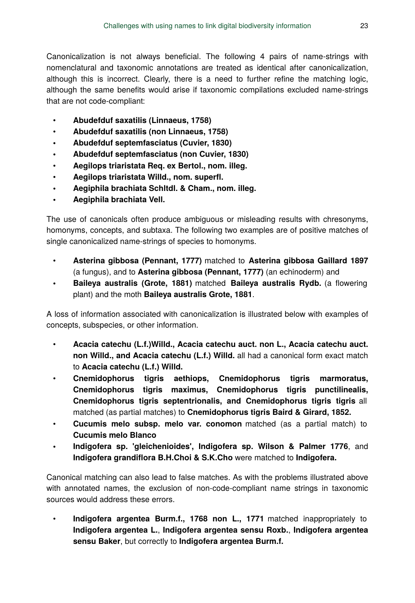Canonicalization is not always beneficial. The following 4 pairs of name-strings with nomenclatural and taxonomic annotations are treated as identical after canonicalization, although this is incorrect. Clearly, there is a need to further refine the matching logic, although the same benefits would arise if taxonomic compilations excluded name-strings that are not code-compliant:

- **Abudefduf saxatilis (Linnaeus, 1758)**
- **Abudefduf saxatilis (non Linnaeus, 1758)**
- **Abudefduf septemfasciatus (Cuvier, 1830)**
- **Abudefduf septemfasciatus (non Cuvier, 1830)**
- **Aegilops triaristata Req. ex Bertol., nom. illeg.**
- **Aegilops triaristata Willd., nom. superfl.**
- **Aegiphila brachiata Schltdl. & Cham., nom. illeg.**
- **Aegiphila brachiata Vell.**

The use of canonicals often produce ambiguous or misleading results with chresonyms, homonyms, concepts, and subtaxa. The following two examples are of positive matches of single canonicalized name-strings of species to homonyms.

- **Asterina gibbosa (Pennant, 1777)** matched to **Asterina gibbosa Gaillard 1897** (a fungus), and to **Asterina gibbosa (Pennant, 1777)** (an echinoderm) and
- **Baileya australis (Grote, 1881)** matched **Baileya australis Rydb.** (a flowering plant) and the moth **Baileya australis Grote, 1881**.

A loss of information associated with canonicalization is illustrated below with examples of concepts, subspecies, or other information.

- **Acacia catechu (L.f.)Willd., Acacia catechu auct. non L., Acacia catechu auct. non Willd., and Acacia catechu (L.f.) Willd.** all had a canonical form exact match to **Acacia catechu (L.f.) Willd.**
- **Cnemidophorus tigris aethiops, Cnemidophorus tigris marmoratus, Cnemidophorus tigris maximus, Cnemidophorus tigris punctilinealis, Cnemidophorus tigris septentrionalis, and Cnemidophorus tigris tigris** all matched (as partial matches) to **Cnemidophorus tigris Baird & Girard, 1852.**
- **Cucumis melo subsp. melo var. conomon** matched (as a partial match) to **Cucumis melo Blanco**
- **Indigofera sp. 'gleichenioides', Indigofera sp. Wilson & Palmer 1776**, and **Indigofera grandiflora B.H.Choi & S.K.Cho** were matched to **Indigofera.**

Canonical matching can also lead to false matches. As with the problems illustrated above with annotated names, the exclusion of non-code-compliant name strings in taxonomic sources would address these errors.

• **Indigofera argentea Burm.f., 1768 non L., 1771** matched inappropriately to **Indigofera argentea L.**, **Indigofera argentea sensu Roxb.**, **Indigofera argentea sensu Baker**, but correctly to **Indigofera argentea Burm.f.**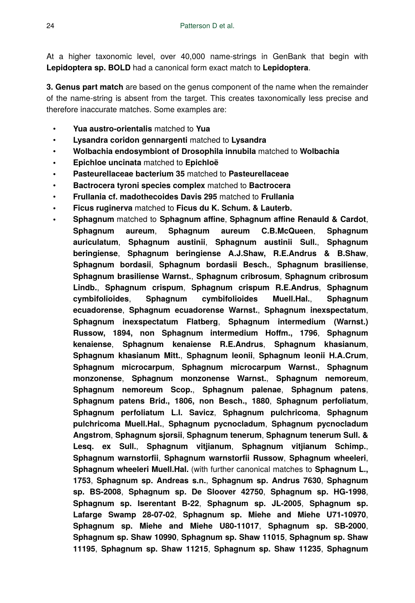At a higher taxonomic level, over 40,000 name-strings in GenBank that begin with **Lepidoptera sp. BOLD** had a canonical form exact match to **Lepidoptera**.

**3. Genus part match** are based on the genus component of the name when the remainder of the name-string is absent from the target. This creates taxonomically less precise and therefore inaccurate matches. Some examples are:

- **Yua austro-orientalis** matched to **Yua**
- **Lysandra coridon gennargenti** matched to **Lysandra**
- **Wolbachia endosymbiont of Drosophila innubila** matched to **Wolbachia**
- **Epichloe uncinata** matched to **Epichloë**
- **Pasteurellaceae bacterium 35** matched to **Pasteurellaceae**
- **Bactrocera tyroni species complex** matched to **Bactrocera**
- **Frullania cf. madothecoides Davis 295** matched to **Frullania**
- **Ficus ruginerva** matched to **Ficus du K. Schum. & Lauterb.**
- **Sphagnum** matched to **Sphagnum affine**, **Sphagnum affine Renauld & Cardot**, **Sphagnum aureum**, **Sphagnum aureum C.B.McQueen**, **Sphagnum auriculatum**, **Sphagnum austinii**, **Sphagnum austinii Sull.**, **Sphagnum beringiense**, **Sphagnum beringiense A.J.Shaw, R.E.Andrus & B.Shaw**, **Sphagnum bordasii**, **Sphagnum bordasii Besch.**, **Sphagnum brasiliense**, **Sphagnum brasiliense Warnst.**, **Sphagnum cribrosum**, **Sphagnum cribrosum Lindb.**, **Sphagnum crispum**, **Sphagnum crispum R.E.Andrus**, **Sphagnum cymbifolioides**, **Sphagnum cymbifolioides Muell.Hal.**, **Sphagnum ecuadorense**, **Sphagnum ecuadorense Warnst.**, **Sphagnum inexspectatum**, **Sphagnum inexspectatum Flatberg**, **Sphagnum intermedium (Warnst.) Russow, 1894, non Sphagnum intermedium Hoffm., 1796**, **Sphagnum kenaiense**, **Sphagnum kenaiense R.E.Andrus**, **Sphagnum khasianum**, **Sphagnum khasianum Mitt.**, **Sphagnum leonii**, **Sphagnum leonii H.A.Crum**, **Sphagnum microcarpum**, **Sphagnum microcarpum Warnst.**, **Sphagnum monzonense**, **Sphagnum monzonense Warnst.**, **Sphagnum nemoreum**, **Sphagnum nemoreum Scop.**, **Sphagnum palenae**, **Sphagnum patens**, **Sphagnum patens Brid., 1806, non Besch., 1880**, **Sphagnum perfoliatum**, **Sphagnum perfoliatum L.I. Savicz**, **Sphagnum pulchricoma**, **Sphagnum pulchricoma Muell.Hal.**, **Sphagnum pycnocladum**, **Sphagnum pycnocladum Angstrom**, **Sphagnum sjorsii**, **Sphagnum tenerum**, **Sphagnum tenerum Sull. & Lesq. ex Sull.**, **Sphagnum vitjianum**, **Sphagnum vitjianum Schimp.**, **Sphagnum warnstorfii**, **Sphagnum warnstorfii Russow**, **Sphagnum wheeleri**, **Sphagnum wheeleri Muell.Hal.** (with further canonical matches to **Sphagnum L., 1753**, **Sphagnum sp. Andreas s.n.**, **Sphagnum sp. Andrus 7630**, **Sphagnum sp. BS-2008**, **Sphagnum sp. De Sloover 42750**, **Sphagnum sp. HG-1998**, **Sphagnum sp. Iserentant B-22**, **Sphagnum sp. JL-2005**, **Sphagnum sp. Lafarge Swamp 28-07-02**, **Sphagnum sp. Miehe and Miehe U71-10970**, **Sphagnum sp. Miehe and Miehe U80-11017**, **Sphagnum sp. SB-2000**, **Sphagnum sp. Shaw 10990**, **Sphagnum sp. Shaw 11015**, **Sphagnum sp. Shaw 11195**, **Sphagnum sp. Shaw 11215**, **Sphagnum sp. Shaw 11235**, **Sphagnum**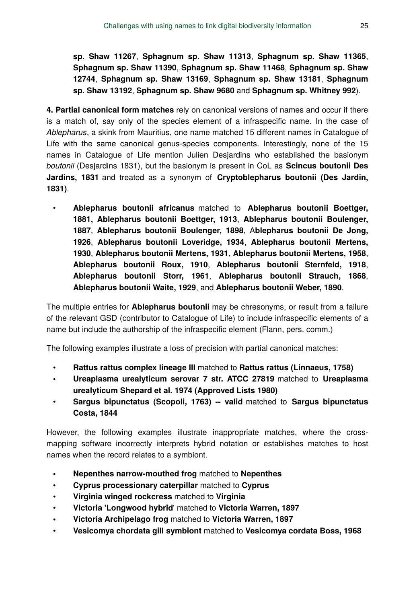**sp. Shaw 11267**, **Sphagnum sp. Shaw 11313**, **Sphagnum sp. Shaw 11365**, **Sphagnum sp. Shaw 11390**, **Sphagnum sp. Shaw 11468**, **Sphagnum sp. Shaw 12744**, **Sphagnum sp. Shaw 13169**, **Sphagnum sp. Shaw 13181**, **Sphagnum sp. Shaw 13192**, **Sphagnum sp. Shaw 9680** and **Sphagnum sp. Whitney 992**).

**4. Partial canonical form matches** rely on canonical versions of names and occur if there is a match of, say only of the species element of a infraspecific name. In the case of *Ablepharus*, a skink from Mauritius, one name matched 15 different names in Catalogue of Life with the same canonical genus-species components. Interestingly, none of the 15 names in Catalogue of Life mention Julien Desjardins who established the basionym *boutonii* (Desjardins 1831), but the basionym is present in CoL as **Scincus boutonii Des Jardins, 1831** and treated as a synonym of **Cryptoblepharus boutonii (Des Jardin, 1831)**.

• **Ablepharus boutonii africanus** matched to **Ablepharus boutonii Boettger, 1881, Ablepharus boutonii Boettger, 1913**, **Ablepharus boutonii Boulenger, 1887**, **Ablepharus boutonii Boulenger, 1898**, A**blepharus boutonii De Jong, 1926**, **Ablepharus boutonii Loveridge, 1934**, **Ablepharus boutonii Mertens, 1930**, **Ablepharus boutonii Mertens, 1931**, **Ablepharus boutonii Mertens, 1958**, **Ablepharus boutonii Roux, 1910**, **Ablepharus boutonii Sternfeld, 1918**, **Ablepharus boutonii Storr, 1961**, **Ablepharus boutonii Strauch, 1868**, **Ablepharus boutonii Waite, 1929**, and **Ablepharus boutonii Weber, 1890**.

The multiple entries for **Ablepharus boutonii** may be chresonyms, or result from a failure of the relevant GSD (contributor to Catalogue of Life) to include infraspecific elements of a name but include the authorship of the infraspecific element (Flann, pers. comm.)

The following examples illustrate a loss of precision with partial canonical matches:

- **Rattus rattus complex lineage III** matched to **Rattus rattus (Linnaeus, 1758)**
- **Ureaplasma urealyticum serovar 7 str. ATCC 27819** matched to **Ureaplasma urealyticum Shepard et al. 1974 (Approved Lists 1980)**
- **Sargus bipunctatus (Scopoli, 1763) -- valid** matched to **Sargus bipunctatus Costa, 1844**

However, the following examples illustrate inappropriate matches, where the crossmapping software incorrectly interprets hybrid notation or establishes matches to host names when the record relates to a symbiont.

- **Nepenthes narrow-mouthed frog** matched to **Nepenthes**
- **Cyprus processionary caterpillar** matched to **Cyprus**
- **Virginia winged rockcress** matched to **Virginia**
- **Victoria 'Longwood hybrid**' matched to **Victoria Warren, 1897**
- **Victoria Archipelago frog** matched to **Victoria Warren, 1897**
- **Vesicomya chordata gill symbiont** matched to **Vesicomya cordata Boss, 1968**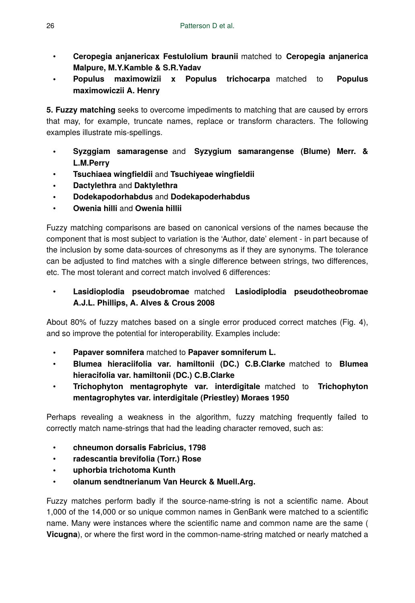- **Ceropegia anjanericax Festulolium braunii** matched to **Ceropegia anjanerica Malpure, M.Y.Kamble & S.R.Yadav**
- **Populus maximowizii x Populus trichocarpa** matched to **Populus maximowiczii A. Henry**

**5. Fuzzy matching** seeks to overcome impediments to matching that are caused by errors that may, for example, truncate names, replace or transform characters. The following examples illustrate mis-spellings.

- **Syzggiam samaragense** and **Syzygium samarangense (Blume) Merr. & L.M.Perry**
- **Tsuchiaea wingfieldii** and **Tsuchiyeae wingfieldii**
- **Dactylethra** and **Daktylethra**
- **Dodekapodorhabdus** and **Dodekapoderhabdus**
- **Owenia hilli** and **Owenia hillii**

Fuzzy matching comparisons are based on canonical versions of the names because the component that is most subject to variation is the 'Author, date' element - in part because of the inclusion by some data-sources of chresonyms as if they are synonyms. The tolerance can be adjusted to find matches with a single difference between strings, two differences, etc. The most tolerant and correct match involved 6 differences:

• **Lasidioplodia pseudobromae** matched **Lasiodiplodia pseudotheobromae A.J.L. Phillips, A. Alves & Crous 2008**

About 80% of fuzzy matches based on a single error produced correct matches (Fig. 4), and so improve the potential for interoperability. Examples include:

- **Papaver somnifera** matched to **Papaver somniferum L.**
- **Blumea hieraciifolia var. hamiltonii (DC.) C.B.Clarke** matched to **Blumea hieracifolia var. hamiltonii (DC.) C.B.Clarke**
- **Trichophyton mentagrophyte var. interdigitale** matched to **Trichophyton mentagrophytes var. interdigitale (Priestley) Moraes 1950**

Perhaps revealing a weakness in the algorithm, fuzzy matching frequently failed to correctly match name-strings that had the leading character removed, such as:

- **chneumon dorsalis Fabricius, 1798**
- **radescantia brevifolia (Torr.) Rose**
- **uphorbia trichotoma Kunth**
- **olanum sendtnerianum Van Heurck & Muell.Arg.**

Fuzzy matches perform badly if the source-name-string is not a scientific name. About 1,000 of the 14,000 or so unique common names in GenBank were matched to a scientific name. Many were instances where the scientific name and common name are the same ( **Vicugna**), or where the first word in the common-name-string matched or nearly matched a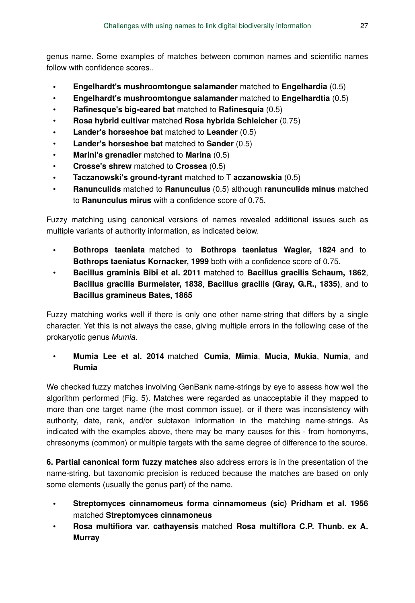genus name. Some examples of matches between common names and scientific names follow with confidence scores.

- **Engelhardt's mushroomtongue salamander** matched to **Engelhardia** (0.5)
- **Engelhardt's mushroomtongue salamander** matched to **Engelhardtia** (0.5)
- **Rafinesque's big-eared bat** matched to **Rafinesquia** (0.5)
- **Rosa hybrid cultivar** matched **Rosa hybrida Schleicher** (0.75)
- **Lander's horseshoe bat** matched to **Leander** (0.5)
- **Lander's horseshoe bat** matched to **Sander** (0.5)
- **Marini's grenadier** matched to **Marina** (0.5)
- **Crosse's shrew** matched to **Crossea** (0.5)
- **Taczanowski's ground-tyrant** matched to T **aczanowskia** (0.5)
- **Ranunculids** matched to **Ranunculus** (0.5) although **ranunculids minus** matched to **Ranunculus mirus** with a confidence score of 0.75.

Fuzzy matching using canonical versions of names revealed additional issues such as multiple variants of authority information, as indicated below.

- **Bothrops taeniata** matched to **Bothrops taeniatus Wagler, 1824** and to **Bothrops taeniatus Kornacker, 1999** both with a confidence score of 0.75.
- **Bacillus graminis Bibi et al. 2011** matched to **Bacillus gracilis Schaum, 1862**, **Bacillus gracilis Burmeister, 1838**, **Bacillus gracilis (Gray, G.R., 1835)**, and to **Bacillus gramineus Bates, 1865**

Fuzzy matching works well if there is only one other name-string that differs by a single character. Yet this is not always the case, giving multiple errors in the following case of the prokaryotic genus *Mumia*.

• **Mumia Lee et al. 2014** matched **Cumia**, **Mimia**, **Mucia**, **Mukia**, **Numia**, and **Rumia**

We checked fuzzy matches involving GenBank name-strings by eye to assess how well the algorithm performed (Fig. 5). Matches were regarded as unacceptable if they mapped to more than one target name (the most common issue), or if there was inconsistency with authority, date, rank, and/or subtaxon information in the matching name-strings. As indicated with the examples above, there may be many causes for this - from homonyms, chresonyms (common) or multiple targets with the same degree of difference to the source.

**6. Partial canonical form fuzzy matches** also address errors is in the presentation of the name-string, but taxonomic precision is reduced because the matches are based on only some elements (usually the genus part) of the name.

- **Streptomyces cinnamomeus forma cinnamomeus (sic) Pridham et al. 1956** matched **Streptomyces cinnamoneus**
- **Rosa multifiora var. cathayensis** matched **Rosa multiflora C.P. Thunb. ex A. Murray**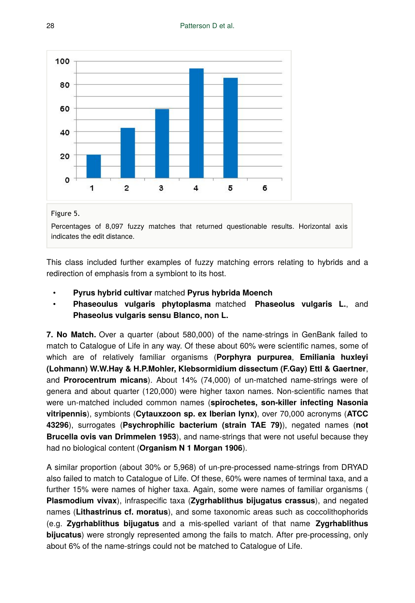

Figure 5.

Percentages of 8,097 fuzzy matches that returned questionable results. Horizontal axis indicates the edit distance.

This class included further examples of fuzzy matching errors relating to hybrids and a redirection of emphasis from a symbiont to its host.

- **Pyrus hybrid cultivar** matched **Pyrus hybrida Moench**
- **Phaseoulus vulgaris phytoplasma** matched **Phaseolus vulgaris L.**, and **Phaseolus vulgaris sensu Blanco, non L.**

**7. No Match.** Over a quarter (about 580,000) of the name-strings in GenBank failed to match to Catalogue of Life in any way. Of these about 60% were scientific names, some of which are of relatively familiar organisms (**Porphyra purpurea**, **Emiliania huxleyi (Lohmann) W.W.Hay & H.P.Mohler, Klebsormidium dissectum (F.Gay) Ettl & Gaertner**, and **Prorocentrum micans**). About 14% (74,000) of un-matched name-strings were of genera and about quarter (120,000) were higher taxon names. Non-scientific names that were un-matched included common names (**spirochetes, son-killer infecting Nasonia vitripennis**), symbionts (**Cytauxzoon sp. ex Iberian lynx)**, over 70,000 acronyms (**ATCC 43296**), surrogates (**Psychrophilic bacterium (strain TAE 79)**), negated names (**not Brucella ovis van Drimmelen 1953**), and name-strings that were not useful because they had no biological content (**Organism N 1 Morgan 1906**).

A similar proportion (about 30% or 5,968) of un-pre-processed name-strings from DRYAD also failed to match to Catalogue of Life. Of these, 60% were names of terminal taxa, and a further 15% were names of higher taxa. Again, some were names of familiar organisms ( **Plasmodium vivax**), infraspecific taxa (**Zygrhablithus bijugatus crassus**), and negated names (**Lithastrinus cf. moratus**), and some taxonomic areas such as coccolithophorids (e.g. **Zygrhablithus bijugatus** and a mis-spelled variant of that name **Zygrhablithus bijucatus**) were strongly represented among the fails to match. After pre-processing, only about 6% of the name-strings could not be matched to Catalogue of Life.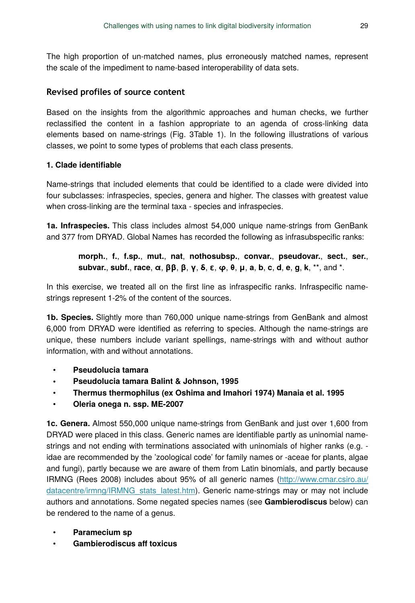The high proportion of un-matched names, plus erroneously matched names, represent the scale of the impediment to name-based interoperability of data sets.

### **Revised profiles of source content**

Based on the insights from the algorithmic approaches and human checks, we further reclassified the content in a fashion appropriate to an agenda of cross-linking data elements based on name-strings (Fig. 3Table 1). In the following illustrations of various classes, we point to some types of problems that each class presents.

### **1. Clade identifiable**

Name-strings that included elements that could be identified to a clade were divided into four subclasses: infraspecies, species, genera and higher. The classes with greatest value when cross-linking are the terminal taxa - species and infraspecies.

**1a. Infraspecies.** This class includes almost 54,000 unique name-strings from GenBank and 377 from DRYAD. Global Names has recorded the following as infrasubspecific ranks:

**morph.**, **f.**, **f.sp.**, **mut.**, **nat**, **nothosubsp.**, **convar.**, **pseudovar.**, **sect.**, **ser.**, **subvar.**, **subf.**, **race**, **α**, **ββ**, **β**, **γ**, **δ**, **ε**, **φ**, **θ**, **μ**, **a**, **b**, **c**, **d**, **e**, **g**, **k**, \*\*, and \*.

In this exercise, we treated all on the first line as infraspecific ranks. Infraspecific namestrings represent 1-2% of the content of the sources.

**1b. Species.** Slightly more than 760,000 unique name-strings from GenBank and almost 6,000 from DRYAD were identified as referring to species. Although the name-strings are unique, these numbers include variant spellings, name-strings with and without author information, with and without annotations.

- **Pseudolucia tamara**
- **Pseudolucia tamara Balint & Johnson, 1995**
- **Thermus thermophilus (ex Oshima and Imahori 1974) Manaia et al. 1995**
- **Oleria onega n. ssp. ME-2007**

**1c. Genera.** Almost 550,000 unique name-strings from GenBank and just over 1,600 from DRYAD were placed in this class. Generic names are identifiable partly as uninomial namestrings and not ending with terminations associated with uninomials of higher ranks (e.g. idae are recommended by the 'zoological code' for family names or -aceae for plants, algae and fungi), partly because we are aware of them from Latin binomials, and partly because IRMNG (Rees 2008) includes about 95% of all generic names [\(http://www.cmar.csiro.au/](http://www.cmar.csiro.au/datacentre/irmng/IRMNG_stats_latest.htm) [datacentre/irmng/IRMNG\\_stats\\_latest.htm](http://www.cmar.csiro.au/datacentre/irmng/IRMNG_stats_latest.htm)). Generic name-strings may or may not include authors and annotations. Some negated species names (see **Gambierodiscus** below) can be rendered to the name of a genus.

- **Paramecium sp**
- **Gambierodiscus aff toxicus**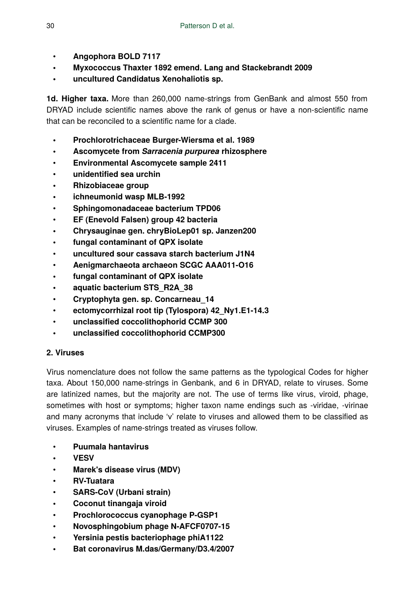- **Angophora BOLD 7117**
- **Myxococcus Thaxter 1892 emend. Lang and Stackebrandt 2009**
- **uncultured Candidatus Xenohaliotis sp.**

**1d. Higher taxa.** More than 260,000 name-strings from GenBank and almost 550 from DRYAD include scientific names above the rank of genus or have a non-scientific name that can be reconciled to a scientific name for a clade.

- **Prochlorotrichaceae Burger-Wiersma et al. 1989**
- **Ascomycete from** *Sarracenia purpurea* **rhizosphere**
- **Environmental Ascomycete sample 2411**
- **unidentified sea urchin**
- **Rhizobiaceae group**
- **ichneumonid wasp MLB-1992**
- **Sphingomonadaceae bacterium TPD06**
- **EF (Enevold Falsen) group 42 bacteria**
- **Chrysauginae gen. chryBioLep01 sp. Janzen200**
- **fungal contaminant of QPX isolate**
- **uncultured sour cassava starch bacterium J1N4**
- **Aenigmarchaeota archaeon SCGC AAA011-O16**
- **fungal contaminant of QPX isolate**
- **aquatic bacterium STS\_R2A\_38**
- **Cryptophyta gen. sp. Concarneau\_14**
- **ectomycorrhizal root tip (Tylospora) 42\_Ny1.E1-14.3**
- **unclassified coccolithophorid CCMP 300**
- **unclassified coccolithophorid CCMP300**

# **2. Viruses**

Virus nomenclature does not follow the same patterns as the typological Codes for higher taxa. About 150,000 name-strings in Genbank, and 6 in DRYAD, relate to viruses. Some are latinized names, but the majority are not. The use of terms like virus, viroid, phage, sometimes with host or symptoms; higher taxon name endings such as -viridae, -virinae and many acronyms that include 'v' relate to viruses and allowed them to be classified as viruses. Examples of name-strings treated as viruses follow.

- **Puumala hantavirus**
- **VESV**
- **Marek's disease virus (MDV)**
- **RV-Tuatara**
- **SARS-CoV (Urbani strain)**
- **Coconut tinangaja viroid**
- **Prochlorococcus cyanophage P-GSP1**
- **Novosphingobium phage N-AFCF0707-15**
- **Yersinia pestis bacteriophage phiA1122**
- **Bat coronavirus M.das/Germany/D3.4/2007**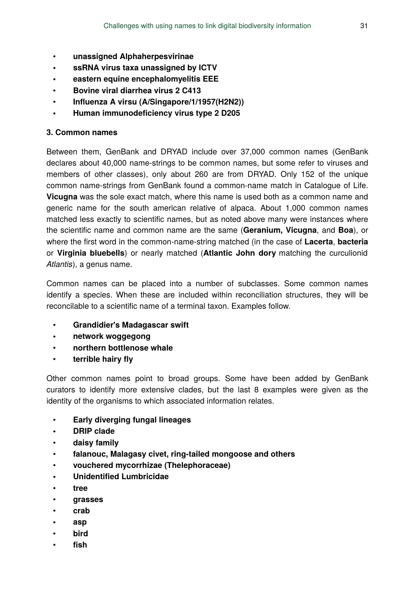- **unassigned Alphaherpesvirinae**
- **ssRNA virus taxa unassigned by ICTV**
- **eastern equine encephalomyelitis EEE**
- **Bovine viral diarrhea virus 2 C413**
- **Influenza A virsu (A/Singapore/1/1957(H2N2))**
- **Human immunodeficiency virus type 2 D205**

### **3. Common names**

Between them, GenBank and DRYAD include over 37,000 common names (GenBank declares about 40,000 name-strings to be common names, but some refer to viruses and members of other classes), only about 260 are from DRYAD. Only 152 of the unique common name-strings from GenBank found a common-name match in Catalogue of Life. **Vicugna** was the sole exact match, where this name is used both as a common name and generic name for the south american relative of alpaca. About 1,000 common names matched less exactly to scientific names, but as noted above many were instances where the scientific name and common name are the same (**Geranium, Vicugna**, and **Boa**), or where the first word in the common-name-string matched (in the case of **Lacerta**, **bacteria** or **Virginia bluebells**) or nearly matched (**Atlantic John dory** matching the curculionid *Atlantis*), a genus name.

Common names can be placed into a number of subclasses. Some common names identify a species. When these are included within reconciliation structures, they will be reconcilable to a scientific name of a terminal taxon. Examples follow.

- **Grandidier's Madagascar swift**
- **network woggegong**
- **northern bottlenose whale**
- **terrible hairy fly**

Other common names point to broad groups. Some have been added by GenBank curators to identify more extensive clades, but the last 8 examples were given as the identity of the organisms to which associated information relates.

- **Early diverging fungal lineages**
- **DRIP clade**
- **daisy family**
- **falanouc, Malagasy civet, ring-tailed mongoose and others**
- **vouchered mycorrhizae (Thelephoraceae)**
- **Unidentified Lumbricidae**
- **tree**
- **grasses**
- **crab**
- **asp**
- **bird**
- **fish**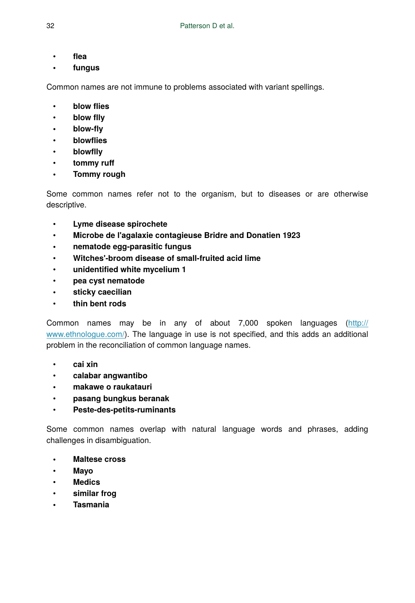- **flea**
- **fungus**

Common names are not immune to problems associated with variant spellings.

- **blow flies**
- **blow flly**
- **blow-fly**
- **blowflies**
- **blowflly**
- **tommy ruff**
- **Tommy rough**

Some common names refer not to the organism, but to diseases or are otherwise descriptive.

- **Lyme disease spirochete**
- **Microbe de l'agalaxie contagieuse Bridre and Donatien 1923**
- **nematode egg-parasitic fungus**
- **Witches'-broom disease of small-fruited acid lime**
- **unidentified white mycelium 1**
- **pea cyst nematode**
- **sticky caecilian**
- **thin bent rods**

Common names may be in any of about 7,000 spoken languages ([http://](http://www.ethnologue.com/) [www.ethnologue.com/](http://www.ethnologue.com/)). The language in use is not specified, and this adds an additional problem in the reconciliation of common language names.

- **cai xin**
- **calabar angwantibo**
- **makawe o raukatauri**
- **pasang bungkus beranak**
- **Peste-des-petits-ruminants**

Some common names overlap with natural language words and phrases, adding challenges in disambiguation.

- **Maltese cross**
- **Mayo**
- **Medics**
- **similar frog**
- **Tasmania**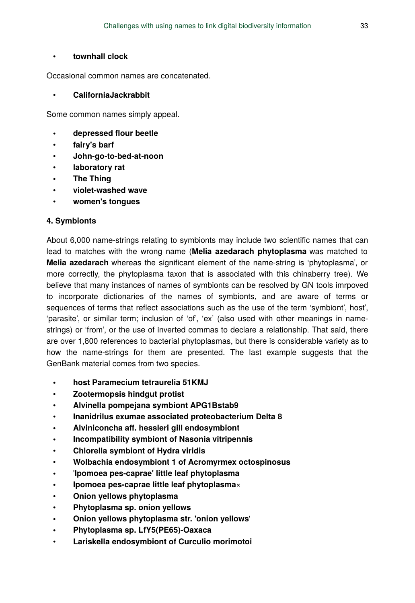#### • **townhall clock**

Occasional common names are concatenated.

#### • **CaliforniaJackrabbit**

Some common names simply appeal.

- **depressed flour beetle**
- **fairy's barf**
- **John-go-to-bed-at-noon**
- **laboratory rat**
- **The Thing**
- **violet-washed wave**
- **women's tongues**

#### **4. Symbionts**

About 6,000 name-strings relating to symbionts may include two scientific names that can lead to matches with the wrong name (**Melia azedarach phytoplasma** was matched to **Melia azedarach** whereas the significant element of the name-string is 'phytoplasma', or more correctly, the phytoplasma taxon that is associated with this chinaberry tree). We believe that many instances of names of symbionts can be resolved by GN tools imrpoved to incorporate dictionaries of the names of symbionts, and are aware of terms or sequences of terms that reflect associations such as the use of the term 'symbiont', host', 'parasite', or similar term; inclusion of 'of', 'ex' (also used with other meanings in namestrings) or 'from', or the use of inverted commas to declare a relationship. That said, there are over 1,800 references to bacterial phytoplasmas, but there is considerable variety as to how the name-strings for them are presented. The last example suggests that the GenBank material comes from two species.

- **host Paramecium tetraurelia 51KMJ**
- **Zootermopsis hindgut protist**
- **Alvinella pompejana symbiont APG1Bstab9**
- **Inanidrilus exumae associated proteobacterium Delta 8**
- **Alviniconcha aff. hessleri gill endosymbiont**
- **Incompatibility symbiont of Nasonia vitripennis**
- **Chlorella symbiont of Hydra viridis**
- **Wolbachia endosymbiont 1 of Acromyrmex octospinosus**
- '**Ipomoea pes-caprae' little leaf phytoplasma**
- **Ipomoea pes-caprae little leaf phytoplasma**×
- **Onion yellows phytoplasma**
- **Phytoplasma sp. onion yellows**
- **Onion yellows phytoplasma str. 'onion yellows**'
- **Phytoplasma sp. LfY5(PE65)-Oaxaca**
- **Lariskella endosymbiont of Curculio morimotoi**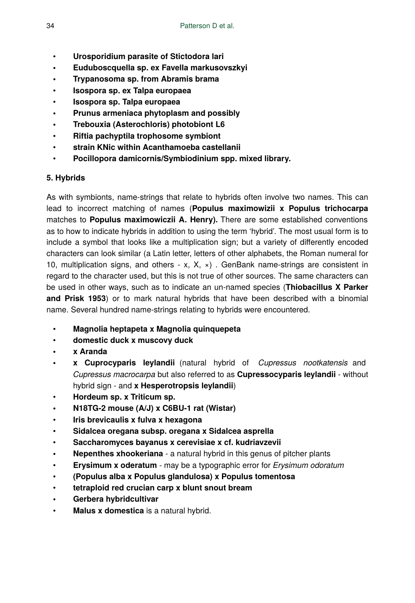- **Urosporidium parasite of Stictodora lari**
- **Euduboscquella sp. ex Favella markusovszkyi**
- **Trypanosoma sp. from Abramis brama**
- **Isospora sp. ex Talpa europaea**
- **Isospora sp. Talpa europaea**
- **Prunus armeniaca phytoplasm and possibly**
- **Trebouxia (Asterochloris) photobiont L6**
- **Riftia pachyptila trophosome symbiont**
- **strain KNic within Acanthamoeba castellanii**
- **Pocillopora damicornis/Symbiodinium spp. mixed library.**

# **5. Hybrids**

As with symbionts, name-strings that relate to hybrids often involve two names. This can lead to incorrect matching of names (**Populus maximowizii x Populus trichocarpa** matches to **Populus maximowiczii A. Henry).** There are some established conventions as to how to indicate hybrids in addition to using the term 'hybrid'. The most usual form is to include a symbol that looks like a multiplication sign; but a variety of differently encoded characters can look similar (a Latin letter, letters of other alphabets, the Roman numeral for 10, multiplication signs, and others - x, X,  $\times$ ). GenBank name-strings are consistent in regard to the character used, but this is not true of other sources. The same characters can be used in other ways, such as to indicate an un-named species (**Thiobacillus X Parker and Prisk 1953**) or to mark natural hybrids that have been described with a binomial name. Several hundred name-strings relating to hybrids were encountered.

- **Magnolia heptapeta x Magnolia quinquepeta**
- **domestic duck x muscovy duck**
- **x Aranda**
- **x Cuprocyparis leylandii** (natural hybrid of *Cupressus nootkatensis* and *Cupressus macrocarpa* but also referred to as **Cupressocyparis leylandii** - without hybrid sign - and **x Hesperotropsis leylandii**)
- **Hordeum sp. x Triticum sp.**
- **N18TG-2 mouse (A/J) x C6BU-1 rat (Wistar)**
- **Iris brevicaulis x fulva x hexagona**
- **Sidalcea oregana subsp. oregana x Sidalcea asprella**
- **Saccharomyces bayanus x cerevisiae x cf. kudriavzevii**
- **Nepenthes xhookeriana** a natural hybrid in this genus of pitcher plants
- **Erysimum x oderatum** may be a typographic error for *Erysimum odoratum*
- **(Populus alba x Populus glandulosa) x Populus tomentosa**
- **tetraploid red crucian carp x blunt snout bream**
- **Gerbera hybridcultivar**
- **Malus x domestica** is a natural hybrid.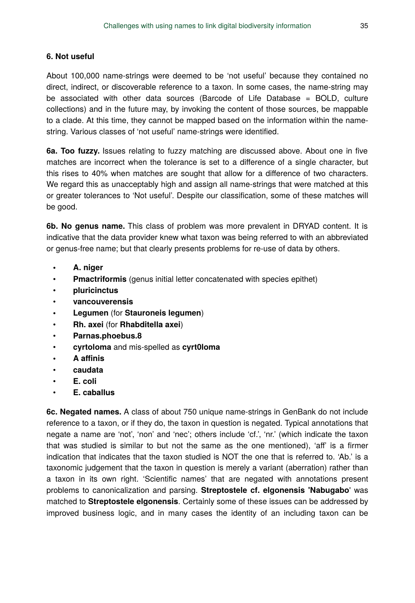#### **6. Not useful**

About 100,000 name-strings were deemed to be 'not useful' because they contained no direct, indirect, or discoverable reference to a taxon. In some cases, the name-string may be associated with other data sources (Barcode of Life Database = BOLD, culture collections) and in the future may, by invoking the content of those sources, be mappable to a clade. At this time, they cannot be mapped based on the information within the namestring. Various classes of 'not useful' name-strings were identified.

**6a. Too fuzzy.** Issues relating to fuzzy matching are discussed above. About one in five matches are incorrect when the tolerance is set to a difference of a single character, but this rises to 40% when matches are sought that allow for a difference of two characters. We regard this as unacceptably high and assign all name-strings that were matched at this or greater tolerances to 'Not useful'. Despite our classification, some of these matches will be good.

**6b. No genus name.** This class of problem was more prevalent in DRYAD content. It is indicative that the data provider knew what taxon was being referred to with an abbreviated or genus-free name; but that clearly presents problems for re-use of data by others.

- **A. niger**
- **Pmactriformis** (genus initial letter concatenated with species epithet)
- **pluricinctus**
- **vancouverensis**
- **Legumen** (for **Stauroneis legumen**)
- **Rh. axei** (for **Rhabditella axei**)
- **Parnas.phoebus.8**
- **cyrtoloma** and mis-spelled as **cyrt0loma**
- **A affinis**
- **caudata**
- **E. coli**
- **E. caballus**

**6c. Negated names.** A class of about 750 unique name-strings in GenBank do not include reference to a taxon, or if they do, the taxon in question is negated. Typical annotations that negate a name are 'not', 'non' and 'nec'; others include 'cf.', 'nr.' (which indicate the taxon that was studied is similar to but not the same as the one mentioned), 'aff' is a firmer indication that indicates that the taxon studied is NOT the one that is referred to. 'Ab.' is a taxonomic judgement that the taxon in question is merely a variant (aberration) rather than a taxon in its own right. 'Scientific names' that are negated with annotations present problems to canonicalization and parsing. **Streptostele cf. elgonensis 'Nabugabo**' was matched to **Streptostele elgonensis**. Certainly some of these issues can be addressed by improved business logic, and in many cases the identity of an including taxon can be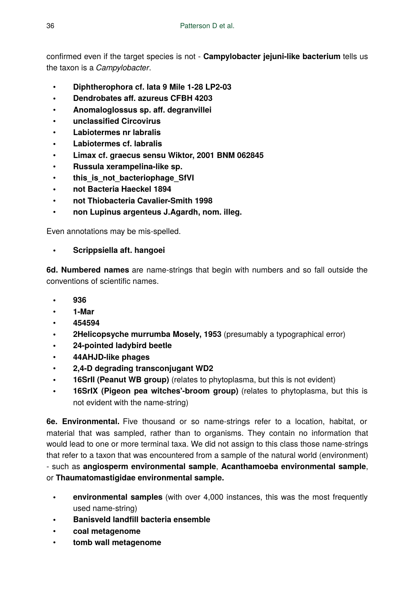confirmed even if the target species is not - **Campylobacter jejuni-like bacterium** tells us the taxon is a *Campylobacter*.

- **Diphtherophora cf. lata 9 Mile 1-28 LP2-03**
- **Dendrobates aff. azureus CFBH 4203**
- **Anomaloglossus sp. aff. degranvillei**
- **unclassified Circovirus**
- **Labiotermes nr labralis**
- **Labiotermes cf. labralis**
- **Limax cf. graecus sensu Wiktor, 2001 BNM 062845**
- **Russula xerampelina-like sp.**
- this is not bacteriophage SfVI
- **not Bacteria Haeckel 1894**
- **not Thiobacteria Cavalier-Smith 1998**
- **non Lupinus argenteus J.Agardh, nom. illeg.**

Even annotations may be mis-spelled.

• **Scrippsiella aft. hangoei**

**6d. Numbered names** are name-strings that begin with numbers and so fall outside the conventions of scientific names.

- **936**
- **1-Mar**
- **454594**
- **2Helicopsyche murrumba Mosely, 1953** (presumably a typographical error)
- **24-pointed ladybird beetle**
- **44AHJD-like phages**
- **2,4-D degrading transconjugant WD2**
- **16SrII (Peanut WB group)** (relates to phytoplasma, but this is not evident)
- **16SrIX (Pigeon pea witches'-broom group)** (relates to phytoplasma, but this is not evident with the name-string)

**6e. Environmental.** Five thousand or so name-strings refer to a location, habitat, or material that was sampled, rather than to organisms. They contain no information that would lead to one or more terminal taxa. We did not assign to this class those name-strings that refer to a taxon that was encountered from a sample of the natural world (environment) - such as **angiosperm environmental sample**, **Acanthamoeba environmental sample**, or **Thaumatomastigidae environmental sample.**

- **environmental samples** (with over 4,000 instances, this was the most frequently used name-string)
- **Banisveld landfill bacteria ensemble**
- **coal metagenome**
- **tomb wall metagenome**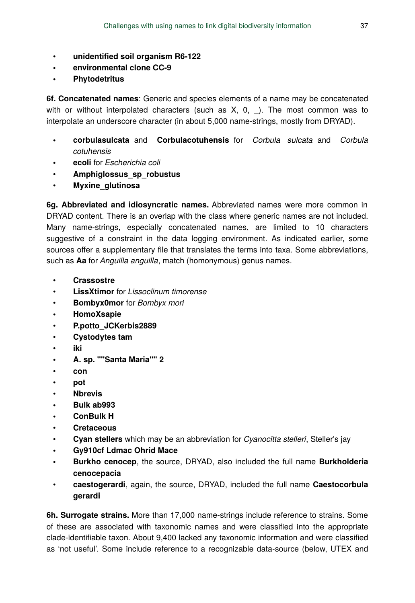- **unidentified soil organism R6-122**
- **environmental clone CC-9**
- **Phytodetritus**

**6f. Concatenated names**: Generic and species elements of a name may be concatenated with or without interpolated characters (such as  $X$ , 0, ). The most common was to interpolate an underscore character (in about 5,000 name-strings, mostly from DRYAD).

- **corbulasulcata** and **Corbulacotuhensis** for *Corbula sulcata* and *Corbula cotuhensis*
- **ecoli** for *Escherichia coli*
- **Amphiglossus\_sp\_robustus**
- **Myxine\_glutinosa**

**6g. Abbreviated and idiosyncratic names.** Abbreviated names were more common in DRYAD content. There is an overlap with the class where generic names are not included. Many name-strings, especially concatenated names, are limited to 10 characters suggestive of a constraint in the data logging environment. As indicated earlier, some sources offer a supplementary file that translates the terms into taxa. Some abbreviations, such as **Aa** for *Anguilla anguilla*, match (homonymous) genus names.

- **Crassostre**
- **LissXtimor** for *Lissoclinum timorense*
- **Bombyx0mor** for *Bombyx mori*
- **HomoXsapie**
- **P.potto\_JCKerbis2889**
- **Cystodytes tam**
- **iki**
- **A. sp. ""Santa Maria"" 2**
- **con**
- **pot**
- **Nbrevis**
- **Bulk ab993**
- **ConBulk H**
- **Cretaceous**
- **Cyan stellers** which may be an abbreviation for *Cyanocitta stelleri*, Steller's jay
- **Gy910cf Ldmac Ohrid Mace**
- **Burkho cenocep**, the source, DRYAD, also included the full name **Burkholderia cenocepacia**
- **caestogerardi**, again, the source, DRYAD, included the full name **Caestocorbula gerardi**

**6h. Surrogate strains.** More than 17,000 name-strings include reference to strains. Some of these are associated with taxonomic names and were classified into the appropriate clade-identifiable taxon. About 9,400 lacked any taxonomic information and were classified as 'not useful'. Some include reference to a recognizable data-source (below, UTEX and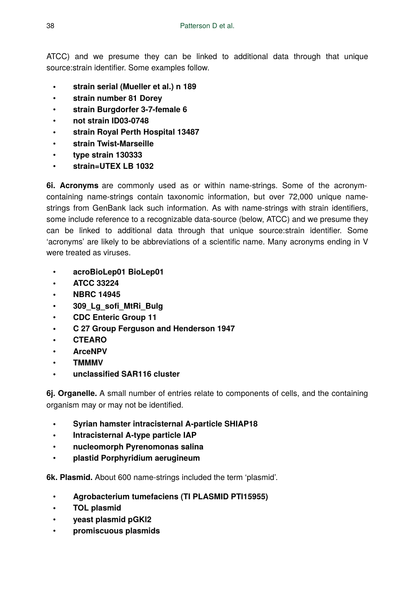ATCC) and we presume they can be linked to additional data through that unique source:strain identifier. Some examples follow.

- **strain serial (Mueller et al.) n 189**
- **strain number 81 Dorey**
- **strain Burgdorfer 3-7-female 6**
- **not strain ID03-0748**
- **strain Royal Perth Hospital 13487**
- **strain Twist-Marseille**
- **type strain 130333**
- **strain=UTEX LB 1032**

**6i. Acronyms** are commonly used as or within name-strings. Some of the acronymcontaining name-strings contain taxonomic information, but over 72,000 unique namestrings from GenBank lack such information. As with name-strings with strain identifiers, some include reference to a recognizable data-source (below, ATCC) and we presume they can be linked to additional data through that unique source:strain identifier. Some 'acronyms' are likely to be abbreviations of a scientific name. Many acronyms ending in V were treated as viruses.

- **acroBioLep01 BioLep01**
- **ATCC 33224**
- **NBRC 14945**
- **309\_Lg\_sofi\_MtRi\_Bulg**
- **CDC Enteric Group 11**
- **C 27 Group Ferguson and Henderson 1947**
- **CTEARO**
- **ArceNPV**
- **TMMMV**
- **unclassified SAR116 cluster**

**6j. Organelle.** A small number of entries relate to components of cells, and the containing organism may or may not be identified.

- **Syrian hamster intracisternal A-particle SHIAP18**
- **Intracisternal A-type particle IAP**
- **nucleomorph Pyrenomonas salina**
- **plastid Porphyridium aerugineum**

**6k. Plasmid.** About 600 name-strings included the term 'plasmid'.

- **Agrobacterium tumefaciens (TI PLASMID PTI15955)**
- **TOL plasmid**
- **yeast plasmid pGKl2**
- **promiscuous plasmids**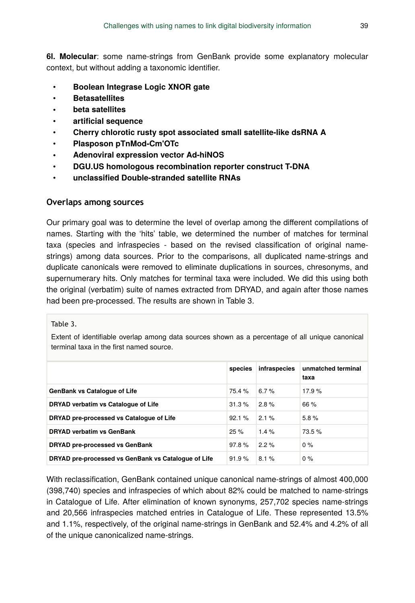**6l. Molecular**: some name-strings from GenBank provide some explanatory molecular context, but without adding a taxonomic identifier.

- **Boolean Integrase Logic XNOR gate**
- **Betasatellites**
- **beta satellites**
- **artificial sequence**
- **Cherry chlorotic rusty spot associated small satellite-like dsRNA A**
- **Plasposon pTnMod-Cm'OTc**
- **Adenoviral expression vector Ad-hiNOS**
- **DGU.US homologous recombination reporter construct T-DNA**
- **unclassified Double-stranded satellite RNAs**

### **Overlaps among sources**

 Our primary goal was to determine the level of overlap among the different compilations of names. Starting with the 'hits' table, we determined the number of matches for terminal taxa (species and infraspecies - based on the revised classification of original namestrings) among data sources. Prior to the comparisons, all duplicated name-strings and duplicate canonicals were removed to eliminate duplications in sources, chresonyms, and supernumerary hits. Only matches for terminal taxa were included. We did this using both the original (verbatim) suite of names extracted from DRYAD, and again after those names had been pre-processed. The results are shown in Table 3.

#### Table 3.

Extent of identifiable overlap among data sources shown as a percentage of all unique canonical terminal taxa in the first named source.

|                                                     | species | infraspecies | unmatched terminal<br>taxa |
|-----------------------------------------------------|---------|--------------|----------------------------|
| <b>GenBank vs Cataloque of Life</b>                 | 75.4 %  | 6.7 $%$      | 17.9%                      |
| DRYAD verbatim vs Catalogue of Life                 | 31.3%   | 2.8%         | 66%                        |
| DRYAD pre-processed vs Catalogue of Life            | 92.1%   | 2.1%         | 5.8%                       |
| <b>DRYAD verbatim vs GenBank</b>                    | 25%     | 14%          | 73.5%                      |
| DRYAD pre-processed vs GenBank                      | 97.8%   | $2.2\%$      | $0\%$                      |
| DRYAD pre-processed vs GenBank vs Catalogue of Life | 91.9%   | 8.1%         | $0\%$                      |

With reclassification, GenBank contained unique canonical name-strings of almost 400,000 (398,740) species and infraspecies of which about 82% could be matched to name-strings in Catalogue of Life. After elimination of known synonyms, 257,702 species name-strings and 20,566 infraspecies matched entries in Catalogue of Life. These represented 13.5% and 1.1%, respectively, of the original name-strings in GenBank and 52.4% and 4.2% of all of the unique canonicalized name-strings.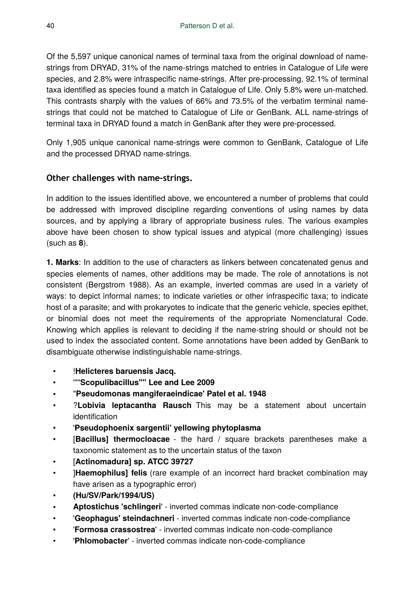Of the 5,597 unique canonical names of terminal taxa from the original download of namestrings from DRYAD, 31% of the name-strings matched to entries in Catalogue of Life were species, and 2.8% were infraspecific name-strings. After pre-processing, 92.1% of terminal taxa identified as species found a match in Catalogue of Life. Only 5.8% were un-matched. This contrasts sharply with the values of 66% and 73.5% of the verbatim terminal namestrings that could not be matched to Catalogue of Life or GenBank. ALL name-strings of terminal taxa in DRYAD found a match in GenBank after they were pre-processed.

Only 1,905 unique canonical name-strings were common to GenBank, Catalogue of Life and the processed DRYAD name-strings.

# **Other challenges with name-strings.**

In addition to the issues identified above, we encountered a number of problems that could be addressed with improved discipline regarding conventions of using names by data sources, and by applying a library of appropriate business rules. The various examples above have been chosen to show typical issues and atypical (more challenging) issues (such as **8**).

**1. Marks**: In addition to the use of characters as linkers between concatenated genus and species elements of names, other additions may be made. The role of annotations is not consistent (Bergstrom 1988). As an example, inverted commas are used in a variety of ways: to depict informal names; to indicate varieties or other infraspecific taxa; to indicate host of a parasite; and with prokaryotes to indicate that the generic vehicle, species epithet, or binomial does not meet the requirements of the appropriate Nomenclatural Code. Knowing which applies is relevant to deciding if the name-string should or should not be used to index the associated content. Some annotations have been added by GenBank to disambiguate otherwise indistinguishable name-strings.

- !**Helicteres baruensis Jacq.**
- '""**Scopulibacillus"" Lee and Lee 2009**
- "**Pseudomonas mangiferaeindicae' Patel et al. 1948**
- ?**Lobivia leptacantha Rausch** This may be a statement about uncertain identification
- '**Pseudophoenix sargentii' yellowing phytoplasma**
- [**Bacillus] thermocloacae** the hard / square brackets parentheses make a taxonomic statement as to the uncertain status of the taxon
- [**Actinomadura] sp. ATCC 39727**
- ]**Haemophilus] felis** (rare example of an incorrect hard bracket combination may have arisen as a typographic error)
- **(Hu/SV/Park/1994/US)**
- **Aptostichus 'schlingeri**' inverted commas indicate non-code-compliance
- '**Geophagus' steindachneri** inverted commas indicate non-code-compliance
- '**Formosa crassostrea**' inverted commas indicate non-code-compliance
- '**Phlomobacter**' inverted commas indicate non-code-compliance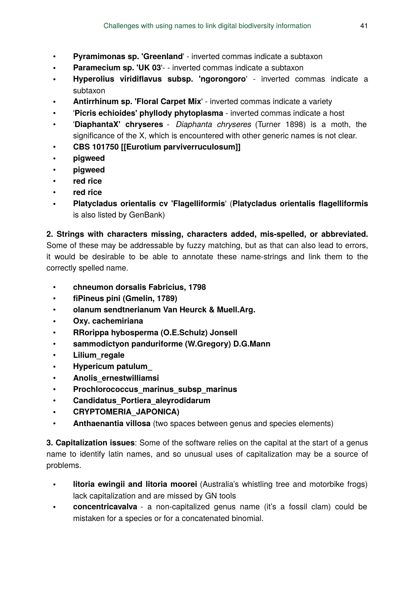- **Pyramimonas sp. 'Greenland**' inverted commas indicate a subtaxon
- **Paramecium sp. 'UK 03'** - inverted commas indicate a subtaxon
- **Hyperolius viridiflavus subsp. 'ngorongoro**' inverted commas indicate a subtaxon
- **Antirrhinum sp. 'Floral Carpet Mix**' inverted commas indicate a variety
- '**Picris echioides' phyllody phytoplasma** inverted commas indicate a host
- '**DiaphantaX' chryseres** *Diaphanta chryseres* (Turner 1898) is a moth, the significance of the X, which is encountered with other generic names is not clear.
- **CBS 101750 [[Eurotium parviverruculosum]]**
- **pigweed**
- **pigweed**
- **red rice**
- **red rice**
- **Platycladus orientalis cv 'Flagelliformis**' (**Platycladus orientalis flagelliformis** is also listed by GenBank)

**2. Strings with characters missing, characters added, mis-spelled, or abbreviated.** Some of these may be addressable by fuzzy matching, but as that can also lead to errors, it would be desirable to be able to annotate these name-strings and link them to the correctly spelled name.

- **chneumon dorsalis Fabricius, 1798**
- **fiPineus pini (Gmelin, 1789)**
- **olanum sendtnerianum Van Heurck & Muell.Arg.**
- **Oxy. cachemiriana**
- **RRorippa hybosperma (O.E.Schulz) Jonsell**
- **sammodictyon panduriforme (W.Gregory) D.G.Mann**
- **Lilium\_regale**
- **Hypericum patulum\_**
- **Anolis\_ernestwilliamsi**
- **Prochlorococcus\_marinus\_subsp\_marinus**
- **Candidatus\_Portiera\_aleyrodidarum**
- **CRYPTOMERIA\_JAPONICA)**
- **Anthaenantia villosa** (two spaces between genus and species elements)

**3. Capitalization issues**: Some of the software relies on the capital at the start of a genus name to identify latin names, and so unusual uses of capitalization may be a source of problems.

- **litoria ewingii and litoria moorei** (Australia's whistling tree and motorbike frogs) lack capitalization and are missed by GN tools
- **concentricavalva** a non-capitalized genus name (it's a fossil clam) could be mistaken for a species or for a concatenated binomial.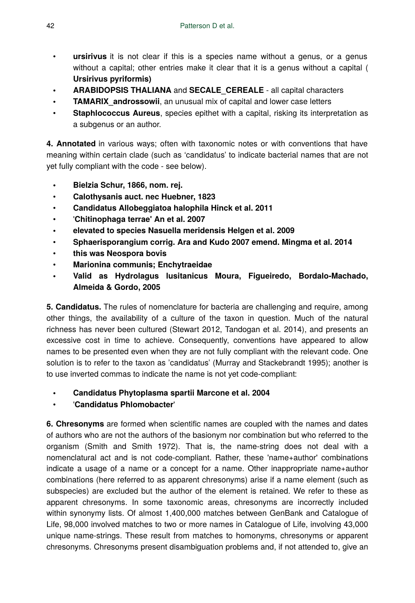- ursirivus it is not clear if this is a species name without a genus, or a genus without a capital; other entries make it clear that it is a genus without a capital ( **Ursirivus pyriformis)**
- **ARABIDOPSIS THALIANA** and **SECALE\_CEREALE** all capital characters
- **TAMARIX** androssowii, an unusual mix of capital and lower case letters
- **Staphlococcus Aureus**, species epithet with a capital, risking its interpretation as a subgenus or an author.

**4. Annotated** in various ways; often with taxonomic notes or with conventions that have meaning within certain clade (such as 'candidatus' to indicate bacterial names that are not yet fully compliant with the code - see below).

- **Bielzia Schur, 1866, nom. rej.**
- **Calothysanis auct. nec Huebner, 1823**
- **Candidatus Allobeggiatoa halophila Hinck et al. 2011**
- '**Chitinophaga terrae' An et al. 2007**
- **elevated to species Nasuella meridensis Helgen et al. 2009**
- **Sphaerisporangium corrig. Ara and Kudo 2007 emend. Mingma et al. 2014**
- **this was Neospora bovis**
- **Marionina communis; Enchytraeidae**
- **Valid as Hydrolagus lusitanicus Moura, Figueiredo, Bordalo-Machado, Almeida & Gordo, 2005**

**5. Candidatus.** The rules of nomenclature for bacteria are challenging and require, among other things, the availability of a culture of the taxon in question. Much of the natural richness has never been cultured (Stewart 2012, Tandogan et al. 2014), and presents an excessive cost in time to achieve. Consequently, conventions have appeared to allow names to be presented even when they are not fully compliant with the relevant code. One solution is to refer to the taxon as 'candidatus' (Murray and Stackebrandt 1995); another is to use inverted commas to indicate the name is not yet code-compliant:

- **Candidatus Phytoplasma spartii Marcone et al. 2004**
- '**Candidatus Phlomobacter**'

**6. Chresonyms** are formed when scientific names are coupled with the names and dates of authors who are not the authors of the basionym nor combination but who referred to the organism (Smith and Smith 1972). That is, the name-string does not deal with a nomenclatural act and is not code-compliant. Rather, these 'name+author' combinations indicate a usage of a name or a concept for a name. Other inappropriate name+author combinations (here referred to as apparent chresonyms) arise if a name element (such as subspecies) are excluded but the author of the element is retained. We refer to these as apparent chresonyms. In some taxonomic areas, chresonyms are incorrectly included within synonymy lists. Of almost 1,400,000 matches between GenBank and Catalogue of Life, 98,000 involved matches to two or more names in Catalogue of Life, involving 43,000 unique name-strings. These result from matches to homonyms, chresonyms or apparent chresonyms. Chresonyms present disambiguation problems and, if not attended to, give an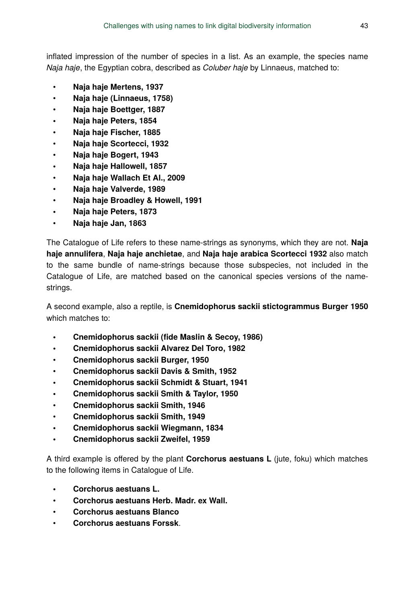inflated impression of the number of species in a list. As an example, the species name *Naja haje*, the Egyptian cobra, described as *Coluber haje* by Linnaeus, matched to:

- **Naja haje Mertens, 1937**
- **Naja haje (Linnaeus, 1758)**
- **Naja haje Boettger, 1887**
- **Naja haje Peters, 1854**
- **Naja haje Fischer, 1885**
- **Naja haje Scortecci, 1932**
- **Naja haje Bogert, 1943**
- **Naja haje Hallowell, 1857**
- **Naja haje Wallach Et Al., 2009**
- **Naja haje Valverde, 1989**
- **Naja haje Broadley & Howell, 1991**
- **Naja haje Peters, 1873**
- **Naja haje Jan, 1863**

The Catalogue of Life refers to these name-strings as synonyms, which they are not. **Naja haje annulifera**, **Naja haje anchietae**, and **Naja haje arabica Scortecci 1932** also match to the same bundle of name-strings because those subspecies, not included in the Catalogue of Life, are matched based on the canonical species versions of the namestrings.

A second example, also a reptile, is **Cnemidophorus sackii stictogrammus Burger 1950** which matches to:

- **Cnemidophorus sackii (fide Maslin & Secoy, 1986)**
- **Cnemidophorus sackii Alvarez Del Toro, 1982**
- **Cnemidophorus sackii Burger, 1950**
- **Cnemidophorus sackii Davis & Smith, 1952**
- **Cnemidophorus sackii Schmidt & Stuart, 1941**
- **Cnemidophorus sackii Smith & Taylor, 1950**
- **Cnemidophorus sackii Smith, 1946**
- **Cnemidophorus sackii Smith, 1949**
- **Cnemidophorus sackii Wiegmann, 1834**
- **Cnemidophorus sackii Zweifel, 1959**

A third example is offered by the plant **Corchorus aestuans L** (jute, foku) which matches to the following items in Catalogue of Life.

- **Corchorus aestuans L.**
- **Corchorus aestuans Herb. Madr. ex Wall.**
- **Corchorus aestuans Blanco**
- **Corchorus aestuans Forssk**.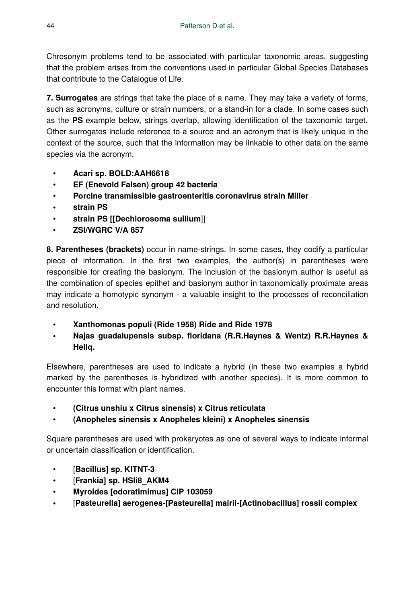Chresonym problems tend to be associated with particular taxonomic areas, suggesting that the problem arises from the conventions used in particular Global Species Databases that contribute to the Catalogue of Life.

**7. Surrogates** are strings that take the place of a name. They may take a variety of forms, such as acronyms, culture or strain numbers, or a stand-in for a clade. In some cases such as the **PS** example below, strings overlap, allowing identification of the taxonomic target. Other surrogates include reference to a source and an acronym that is likely unique in the context of the source, such that the information may be linkable to other data on the same species via the acronym.

- **Acari sp. BOLD:AAH6618**
- **EF (Enevold Falsen) group 42 bacteria**
- **Porcine transmissible gastroenteritis coronavirus strain Miller**
- **strain PS**
- **strain PS [[Dechlorosoma suillum**]]
- **ZSI/WGRC V/A 857**

**8. Parentheses (brackets)** occur in name-strings. In some cases, they codify a particular piece of information. In the first two examples, the author(s) in parentheses were responsible for creating the basionym. The inclusion of the basionym author is useful as the combination of species epithet and basionym author in taxonomically proximate areas may indicate a homotypic synonym - a valuable insight to the processes of reconciliation and resolution.

- **Xanthomonas populi (Ride 1958) Ride and Ride 1978**
- **Najas guadalupensis subsp. floridana (R.R.Haynes & Wentz) R.R.Haynes & Hellq.**

Elsewhere, parentheses are used to indicate a hybrid (in these two examples a hybrid marked by the parentheses is hybridized with another species). It is more common to encounter this format with plant names.

- **(Citrus unshiu x Citrus sinensis) x Citrus reticulata**
- **(Anopheles sinensis x Anopheles kleini) x Anopheles sinensis**

Square parentheses are used with prokaryotes as one of several ways to indicate informal or uncertain classification or identification.

- [**Bacillus] sp. KITNT-3**
- [**Frankia] sp. HSIi8\_AKM4**
- **Myroides [odoratimimus] CIP 103059**
- [**Pasteurella] aerogenes-[Pasteurella] mairii-[Actinobacillus] rossii complex**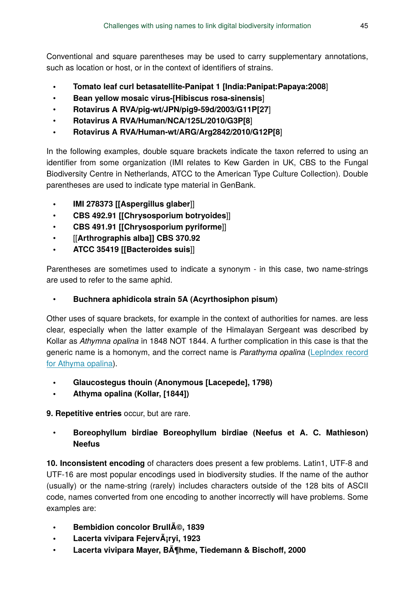Conventional and square parentheses may be used to carry supplementary annotations, such as location or host, or in the context of identifiers of strains.

- **Tomato leaf curl betasatellite-Panipat 1 [India:Panipat:Papaya:2008**]
- **Bean yellow mosaic virus-[Hibiscus rosa-sinensis**]
- **Rotavirus A RVA/pig-wt/JPN/pig9-59d/2003/G11P[27**]
- **Rotavirus A RVA/Human/NCA/125L/2010/G3P[8**]
- **Rotavirus A RVA/Human-wt/ARG/Arg2842/2010/G12P[8**]

In the following examples, double square brackets indicate the taxon referred to using an identifier from some organization (IMI relates to Kew Garden in UK, CBS to the Fungal Biodiversity Centre in Netherlands, ATCC to the American Type Culture Collection). Double parentheses are used to indicate type material in GenBank.

- **IMI 278373 [[Aspergillus glaber**]]
- **CBS 492.91 [[Chrysosporium botryoides**]]
- **CBS 491.91 [[Chrysosporium pyriforme**]]
- [[**Arthrographis alba]] CBS 370.92**
- **ATCC 35419 [[Bacteroides suis**]]

Parentheses are sometimes used to indicate a synonym - in this case, two name-strings are used to refer to the same aphid.

# • **Buchnera aphidicola strain 5A (Acyrthosiphon pisum)**

Other uses of square brackets, for example in the context of authorities for names. are less clear, especially when the latter example of the Himalayan Sergeant was described by Kollar as *Athymna opalina* in 1848 NOT 1844. A further complication in this case is that the generic name is a homonym, and the correct name is *Parathyma opalina* [\(LepIndex record](http://www.nhm.ac.uk/our-science/data/lepindex/search/detail.dsml?TaxonNo=161650.0&UserID=&UserName=&&listPageURL=list%2edsml%3fsort%3dSCIENTIFIC%255fNAME%255fon%255fcard%26SCIENTIFIC_NAME_on_cardqtype%3dcontains%26SCIENTIFIC_NAME_on_card%3dopalina%26recLimit%3d30&searchPageURL=index%2edsml%3fSCIENTIFIC_NAME_on_cardqtype%3dcontains%26sort%3dSCIENTIFIC%255fNAME%255fon%255fcard%26SCIENTIFIC_NAME_on_card%3dopalina%26recLimit%3d30) [for Athyma opalina](http://www.nhm.ac.uk/our-science/data/lepindex/search/detail.dsml?TaxonNo=161650.0&UserID=&UserName=&&listPageURL=list%2edsml%3fsort%3dSCIENTIFIC%255fNAME%255fon%255fcard%26SCIENTIFIC_NAME_on_cardqtype%3dcontains%26SCIENTIFIC_NAME_on_card%3dopalina%26recLimit%3d30&searchPageURL=index%2edsml%3fSCIENTIFIC_NAME_on_cardqtype%3dcontains%26sort%3dSCIENTIFIC%255fNAME%255fon%255fcard%26SCIENTIFIC_NAME_on_card%3dopalina%26recLimit%3d30)).

- **Glaucostegus thouin (Anonymous [Lacepede], 1798)**
- **Athyma opalina (Kollar, [1844])**

**9. Repetitive entries** occur, but are rare.

# • **Boreophyllum birdiae Boreophyllum birdiae (Neefus et A. C. Mathieson) Neefus**

**10. Inconsistent encoding** of characters does present a few problems. Latin1, UTF-8 and UTF-16 are most popular encodings used in biodiversity studies. If the name of the author (usually) or the name-string (rarely) includes characters outside of the 128 bits of ASCII code, names converted from one encoding to another incorrectly will have problems. Some examples are:

- **Bembidion concolor Brull**A<sup>©</sup>, 1839
- **Lacerta vivipara Fejerv**A<sub>i</sub>ryi, 1923
- **Lacerta vivipara Mayer, Böhme, Tiedemann & Bischoff, 2000**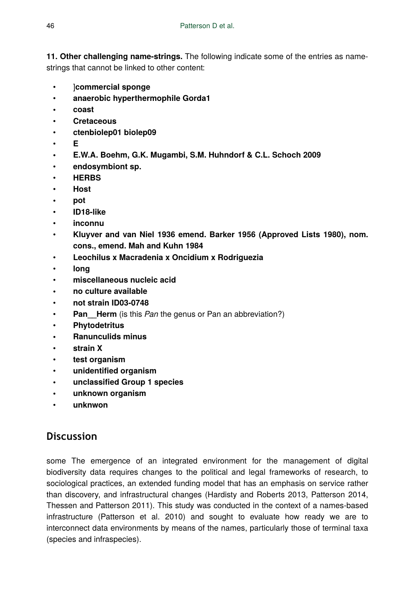**11. Other challenging name-strings.** The following indicate some of the entries as namestrings that cannot be linked to other content:

- ]**commercial sponge**
- **anaerobic hyperthermophile Gorda1**
- **coast**
- **Cretaceous**
- **ctenbiolep01 biolep09**
- **E**
- **E.W.A. Boehm, G.K. Mugambi, S.M. Huhndorf & C.L. Schoch 2009**
- **endosymbiont sp.**
- **HERBS**
- **Host**
- **pot**
- **ID18-like**
- **inconnu**
- **Kluyver and van Niel 1936 emend. Barker 1956 (Approved Lists 1980), nom. cons., emend. Mah and Kuhn 1984**
- **Leochilus x Macradenia x Oncidium x Rodriguezia**
- **long**
- **miscellaneous nucleic acid**
- **no culture available**
- **not strain ID03-0748**
- **Pan** Herm (is this *Pan* the genus or Pan an abbreviation?)
- **Phytodetritus**
- **Ranunculids minus**
- **strain X**
- **test organism**
- **unidentified organism**
- **unclassified Group 1 species**
- **unknown organism**
- **unknwon**

# **Discussion**

some The emergence of an integrated environment for the management of digital biodiversity data requires changes to the political and legal frameworks of research, to sociological practices, an extended funding model that has an emphasis on service rather than discovery, and infrastructural changes (Hardisty and Roberts 2013, Patterson 2014, Thessen and Patterson 2011). This study was conducted in the context of a names-based infrastructure (Patterson et al. 2010) and sought to evaluate how ready we are to interconnect data environments by means of the names, particularly those of terminal taxa (species and infraspecies).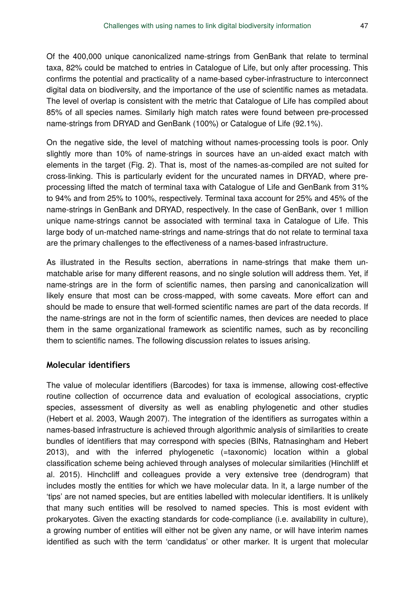Of the 400,000 unique canonicalized name-strings from GenBank that relate to terminal taxa, 82% could be matched to entries in Catalogue of Life, but only after processing. This confirms the potential and practicality of a name-based cyber-infrastructure to interconnect digital data on biodiversity, and the importance of the use of scientific names as metadata. The level of overlap is consistent with the metric that Catalogue of Life has compiled about 85% of all species names. Similarly high match rates were found between pre-processed name-strings from DRYAD and GenBank (100%) or Catalogue of Life (92.1%).

On the negative side, the level of matching without names-processing tools is poor. Only slightly more than 10% of name-strings in sources have an un-aided exact match with elements in the target (Fig. 2). That is, most of the names-as-compiled are not suited for cross-linking. This is particularly evident for the uncurated names in DRYAD, where preprocessing lifted the match of terminal taxa with Catalogue of Life and GenBank from 31% to 94% and from 25% to 100%, respectively. Terminal taxa account for 25% and 45% of the name-strings in GenBank and DRYAD, respectively. In the case of GenBank, over 1 million unique name-strings cannot be associated with terminal taxa in Catalogue of Life. This large body of un-matched name-strings and name-strings that do not relate to terminal taxa are the primary challenges to the effectiveness of a names-based infrastructure.

As illustrated in the Results section, aberrations in name-strings that make them unmatchable arise for many different reasons, and no single solution will address them. Yet, if name-strings are in the form of scientific names, then parsing and canonicalization will likely ensure that most can be cross-mapped, with some caveats. More effort can and should be made to ensure that well-formed scientific names are part of the data records. If the name-strings are not in the form of scientific names, then devices are needed to place them in the same organizational framework as scientific names, such as by reconciling them to scientific names. The following discussion relates to issues arising.

#### **Molecular identifiers**

The value of molecular identifiers (Barcodes) for taxa is immense, allowing cost-effective routine collection of occurrence data and evaluation of ecological associations, cryptic species, assessment of diversity as well as enabling phylogenetic and other studies (Hebert et al. 2003, Waugh 2007). The integration of the identifiers as surrogates within a names-based infrastructure is achieved through algorithmic analysis of similarities to create bundles of identifiers that may correspond with species (BINs, Ratnasingham and Hebert 2013), and with the inferred phylogenetic (=taxonomic) location within a global classification scheme being achieved through analyses of molecular similarities (Hinchliff et al. 2015). Hinchcliff and colleagues provide a very extensive tree (dendrogram) that includes mostly the entities for which we have molecular data. In it, a large number of the 'tips' are not named species, but are entities labelled with molecular identifiers. It is unlikely that many such entities will be resolved to named species. This is most evident with prokaryotes. Given the exacting standards for code-compliance (i.e. availability in culture), a growing number of entities will either not be given any name, or will have interim names identified as such with the term 'candidatus' or other marker. It is urgent that molecular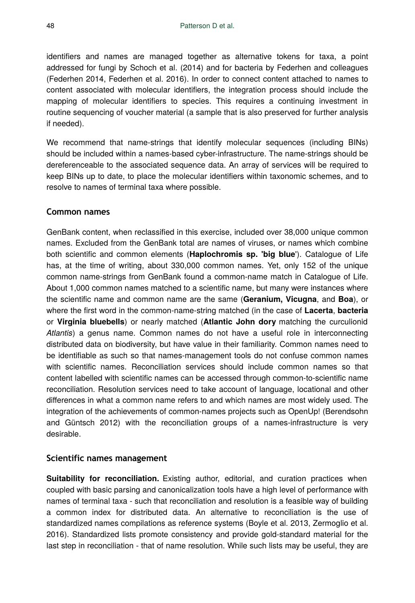identifiers and names are managed together as alternative tokens for taxa, a point addressed for fungi by Schoch et al. (2014) and for bacteria by Federhen and colleagues (Federhen 2014, Federhen et al. 2016). In order to connect content attached to names to content associated with molecular identifiers, the integration process should include the mapping of molecular identifiers to species. This requires a continuing investment in routine sequencing of voucher material (a sample that is also preserved for further analysis if needed).

We recommend that name-strings that identify molecular sequences (including BINs) should be included within a names-based cyber-infrastructure. The name-strings should be dereferenceable to the associated sequence data. An array of services will be required to keep BINs up to date, to place the molecular identifiers within taxonomic schemes, and to resolve to names of terminal taxa where possible.

#### **Common names**

GenBank content, when reclassified in this exercise, included over 38,000 unique common names. Excluded from the GenBank total are names of viruses, or names which combine both scientific and common elements (**Haplochromis sp. 'big blue**'). Catalogue of Life has, at the time of writing, about 330,000 common names. Yet, only 152 of the unique common name-strings from GenBank found a common-name match in Catalogue of Life. About 1,000 common names matched to a scientific name, but many were instances where the scientific name and common name are the same (**Geranium, Vicugna**, and **Boa**), or where the first word in the common-name-string matched (in the case of **Lacerta**, **bacteria** or **Virginia bluebells**) or nearly matched (**Atlantic John dory** matching the curculionid *Atlantis*) a genus name. Common names do not have a useful role in interconnecting distributed data on biodiversity, but have value in their familiarity. Common names need to be identifiable as such so that names-management tools do not confuse common names with scientific names. Reconciliation services should include common names so that content labelled with scientific names can be accessed through common-to-scientific name reconciliation. Resolution services need to take account of language, locational and other differences in what a common name refers to and which names are most widely used. The integration of the achievements of common-names projects such as OpenUp! (Berendsohn and Güntsch 2012) with the reconciliation groups of a names-infrastructure is very desirable.

#### **Scientific names management**

**Suitability for reconciliation.** Existing author, editorial, and curation practices when coupled with basic parsing and canonicalization tools have a high level of performance with names of terminal taxa - such that reconciliation and resolution is a feasible way of building a common index for distributed data. An alternative to reconciliation is the use of standardized names compilations as reference systems (Boyle et al. 2013, Zermoglio et al. 2016). Standardized lists promote consistency and provide gold-standard material for the last step in reconciliation - that of name resolution. While such lists may be useful, they are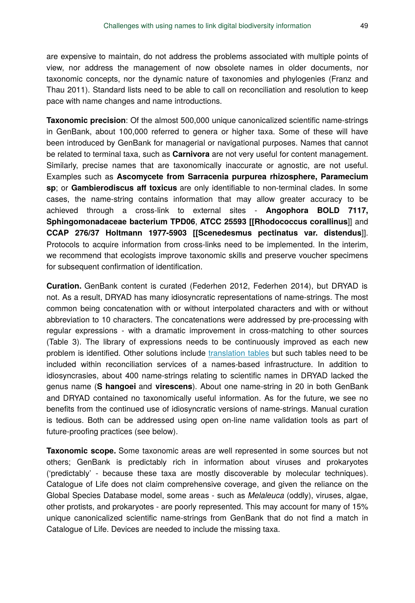are expensive to maintain, do not address the problems associated with multiple points of view, nor address the management of now obsolete names in older documents, nor taxonomic concepts, nor the dynamic nature of taxonomies and phylogenies (Franz and Thau 2011). Standard lists need to be able to call on reconciliation and resolution to keep pace with name changes and name introductions.

**Taxonomic precision**: Of the almost 500,000 unique canonicalized scientific name-strings in GenBank, about 100,000 referred to genera or higher taxa. Some of these will have been introduced by GenBank for managerial or navigational purposes. Names that cannot be related to terminal taxa, such as **Carnivora** are not very useful for content management. Similarly, precise names that are taxonomically inaccurate or agnostic, are not useful. Examples such as **Ascomycete from Sarracenia purpurea rhizosphere, Paramecium sp**; or **Gambierodiscus aff toxicus** are only identifiable to non-terminal clades. In some cases, the name-string contains information that may allow greater accuracy to be achieved through a cross-link to external sites - **Angophora BOLD 7117, Sphingomonadaceae bacterium TPD06**, **ATCC 25593 [[Rhodococcus corallinus**]] and **CCAP 276/37 Holtmann 1977-5903 [[Scenedesmus pectinatus var. distendus**]]. Protocols to acquire information from cross-links need to be implemented. In the interim, we recommend that ecologists improve taxonomic skills and preserve voucher specimens for subsequent confirmation of identification.

**Curation.** GenBank content is curated (Federhen 2012, Federhen 2014), but DRYAD is not. As a result, DRYAD has many idiosyncratic representations of name-strings. The most common being concatenation with or without interpolated characters and with or without abbreviation to 10 characters. The concatenations were addressed by pre-processing with regular expressions - with a dramatic improvement in cross-matching to other sources (Table 3). The library of expressions needs to be continuously improved as each new problem is identified. Other solutions include [translation tables](http://datadryad.org/bitstream/handle/10255/dryad.7874/README.txt?sequence=2) but such tables need to be included within reconciliation services of a names-based infrastructure. In addition to idiosyncrasies, about 400 name-strings relating to scientific names in DRYAD lacked the genus name (**S hangoei** and **virescens**). About one name-string in 20 in both GenBank and DRYAD contained no taxonomically useful information. As for the future, we see no benefits from the continued use of idiosyncratic versions of name-strings. Manual curation is tedious. Both can be addressed using open on-line name validation tools as part of future-proofing practices (see below).

**Taxonomic scope.** Some taxonomic areas are well represented in some sources but not others; GenBank is predictably rich in information about viruses and prokaryotes ('predictably' - because these taxa are mostly discoverable by molecular techniques). Catalogue of Life does not claim comprehensive coverage, and given the reliance on the Global Species Database model, some areas - such as *Melaleuca* (oddly), viruses, algae, other protists, and prokaryotes - are poorly represented. This may account for many of 15% unique canonicalized scientific name-strings from GenBank that do not find a match in Catalogue of Life. Devices are needed to include the missing taxa.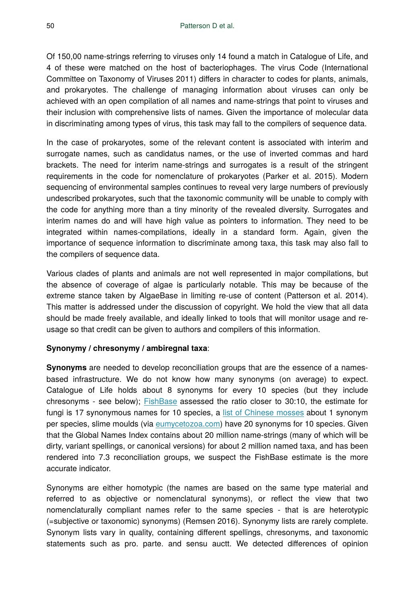Of 150,00 name-strings referring to viruses only 14 found a match in Catalogue of Life, and 4 of these were matched on the host of bacteriophages. The virus Code (International Committee on Taxonomy of Viruses 2011) differs in character to codes for plants, animals, and prokaryotes. The challenge of managing information about viruses can only be achieved with an open compilation of all names and name-strings that point to viruses and their inclusion with comprehensive lists of names. Given the importance of molecular data in discriminating among types of virus, this task may fall to the compilers of sequence data.

In the case of prokaryotes, some of the relevant content is associated with interim and surrogate names, such as candidatus names, or the use of inverted commas and hard brackets. The need for interim name-strings and surrogates is a result of the stringent requirements in the code for nomenclature of prokaryotes (Parker et al. 2015). Modern sequencing of environmental samples continues to reveal very large numbers of previously undescribed prokaryotes, such that the taxonomic community will be unable to comply with the code for anything more than a tiny minority of the revealed diversity. Surrogates and interim names do and will have high value as pointers to information. They need to be integrated within names-compilations, ideally in a standard form. Again, given the importance of sequence information to discriminate among taxa, this task may also fall to the compilers of sequence data.

Various clades of plants and animals are not well represented in major compilations, but the absence of coverage of algae is particularly notable. This may be because of the extreme stance taken by AlgaeBase in limiting re-use of content (Patterson et al. 2014). This matter is addressed under the discussion of copyright. We hold the view that all data should be made freely available, and ideally linked to tools that will monitor usage and reusage so that credit can be given to authors and compilers of this information.

#### **Synonymy / chresonymy / ambiregnal taxa**:

**Synonyms** are needed to develop reconciliation groups that are the essence of a namesbased infrastructure. We do not know how many synonyms (on average) to expect. Catalogue of Life holds about 8 synonyms for every 10 species (but they include chresonyms - see below); [FishBase](http://www.fishbase.org/manual/fishbasethe_synonyms_table.htm) assessed the ratio closer to 30:10, the estimate for fungi is 17 synonymous names for 10 species, a [list of Chinese mosses](http://www.mobot.org/MOBOT/moss/China/chlist.html) about 1 synonym per species, slime moulds (via [eumycetozoa.com](http://eumycetozoa.com)) have 20 synonyms for 10 species. Given that the Global Names Index contains about 20 million name-strings (many of which will be dirty, variant spellings, or canonical versions) for about 2 million named taxa, and has been rendered into 7.3 reconciliation groups, we suspect the FishBase estimate is the more accurate indicator.

Synonyms are either homotypic (the names are based on the same type material and referred to as objective or nomenclatural synonyms), or reflect the view that two nomenclaturally compliant names refer to the same species - that is are heterotypic (=subjective or taxonomic) synonyms) (Remsen 2016). Synonymy lists are rarely complete. Synonym lists vary in quality, containing different spellings, chresonyms, and taxonomic statements such as pro. parte. and sensu auctt. We detected differences of opinion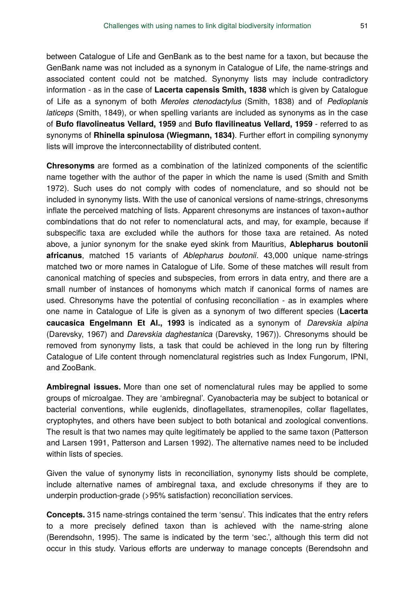between Catalogue of Life and GenBank as to the best name for a taxon, but because the GenBank name was not included as a synonym in Catalogue of Life, the name-strings and associated content could not be matched. Synonymy lists may include contradictory information - as in the case of **Lacerta capensis Smith, 1838** which is given by Catalogue of Life as a synonym of both *Meroles ctenodactylus* (Smith, 1838) and of *Pedioplanis laticeps* (Smith, 1849), or when spelling variants are included as synonyms as in the case of **Bufo flavolineatus Vellard, 1959** and **Bufo flavilineatus Vellard, 1959** - referred to as synonyms of **Rhinella spinulosa (Wiegmann, 1834)**. Further effort in compiling synonymy lists will improve the interconnectability of distributed content.

**Chresonyms** are formed as a combination of the latinized components of the scientific name together with the author of the paper in which the name is used (Smith and Smith 1972). Such uses do not comply with codes of nomenclature, and so should not be included in synonymy lists. With the use of canonical versions of name-strings, chresonyms inflate the perceived matching of lists. Apparent chresonyms are instances of taxon+author combindations that do not refer to nomenclatural acts, and may, for example, because if subspecific taxa are excluded while the authors for those taxa are retained. As noted above, a junior synonym for the snake eyed skink from Mauritius, **Ablepharus boutonii africanus**, matched 15 variants of *Ablepharus boutonii*. 43,000 unique name-strings matched two or more names in Catalogue of Life. Some of these matches will result from canonical matching of species and subspecies, from errors in data entry, and there are a small number of instances of homonyms which match if canonical forms of names are used. Chresonyms have the potential of confusing reconciliation - as in examples where one name in Catalogue of Life is given as a synonym of two different species (**Lacerta caucasica Engelmann Et Al., 1993** is indicated as a synonym of *Darevskia alpina* (Darevsky, 1967) and *Darevskia daghestanica* (Darevsky, 1967)). Chresonyms should be removed from synonymy lists, a task that could be achieved in the long run by filtering Catalogue of Life content through nomenclatural registries such as Index Fungorum, IPNI, and ZooBank.

**Ambiregnal issues.** More than one set of nomenclatural rules may be applied to some groups of microalgae. They are 'ambiregnal'. Cyanobacteria may be subject to botanical or bacterial conventions, while euglenids, dinoflagellates, stramenopiles, collar flagellates, cryptophytes, and others have been subject to both botanical and zoological conventions. The result is that two names may quite legitimately be applied to the same taxon (Patterson and Larsen 1991, Patterson and Larsen 1992). The alternative names need to be included within lists of species.

Given the value of synonymy lists in reconciliation, synonymy lists should be complete, include alternative names of ambiregnal taxa, and exclude chresonyms if they are to underpin production-grade (>95% satisfaction) reconciliation services.

**Concepts.** 315 name-strings contained the term 'sensu'. This indicates that the entry refers to a more precisely defined taxon than is achieved with the name-string alone (Berendsohn, 1995). The same is indicated by the term 'sec.', although this term did not occur in this study. Various efforts are underway to manage concepts (Berendsohn and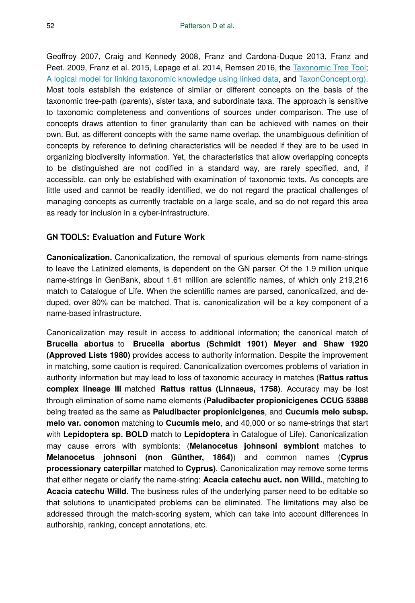Geoffroy 2007, Craig and Kennedy 2008, Franz and Cardona-Duque 2013, Franz and Peet. 2009, Franz et al. 2015, Lepage et al. 2014, Remsen 2016, the [Taxonomic Tree Tool;](http://ttt.biodinfo.org/) [A logical model for linking taxonomic knowledge using linked data](http://rc.lodac.nii.ac.jp/ltk/), and [TaxonConcept.org\).](http://www.taxonconcept.org/) Most tools establish the existence of similar or different concepts on the basis of the taxonomic tree-path (parents), sister taxa, and subordinate taxa. The approach is sensitive to taxonomic completeness and conventions of sources under comparison. The use of concepts draws attention to finer granularity than can be achieved with names on their own. But, as different concepts with the same name overlap, the unambiguous definition of concepts by reference to defining characteristics will be needed if they are to be used in organizing biodiversity information. Yet, the characteristics that allow overlapping concepts to be distinguished are not codified in a standard way, are rarely specified, and, if accessible, can only be established with examination of taxonomic texts. As concepts are little used and cannot be readily identified, we do not regard the practical challenges of managing concepts as currently tractable on a large scale, and so do not regard this area as ready for inclusion in a cyber-infrastructure.

#### **GN TOOLS: Evaluation and Future Work**

**Canonicalization.** Canonicalization, the removal of spurious elements from name-strings to leave the Latinized elements, is dependent on the GN parser. Of the 1.9 million unique name-strings in GenBank, about 1.61 million are scientific names, of which only 219,216 match to Catalogue of Life. When the scientific names are parsed, canonicalized, and deduped, over 80% can be matched. That is, canonicalization will be a key component of a name-based infrastructure.

Canonicalization may result in access to additional information; the canonical match of **Brucella abortus** to **Brucella abortus (Schmidt 1901) Meyer and Shaw 1920 (Approved Lists 1980)** provides access to authority information. Despite the improvement in matching, some caution is required. Canonicalization overcomes problems of variation in authority information but may lead to loss of taxonomic accuracy in matches (**Rattus rattus complex lineage III** matched **Rattus rattus (Linnaeus, 1758)**. Accuracy may be lost through elimination of some name elements (**Paludibacter propionicigenes CCUG 53888** being treated as the same as **Paludibacter propionicigenes**, and **Cucumis melo subsp. melo var. conomon** matching to **Cucumis melo**, and 40,000 or so name-strings that start with **Lepidoptera sp. BOLD** match to **Lepidoptera** in Catalogue of Life). Canonicalization may cause errors with symbionts: (**Melanocetus johnsoni symbiont** matches to **Melanocetus johnsoni (non Günther, 1864)**) and common names (**Cyprus processionary caterpillar** matched to **Cyprus)**. Canonicalization may remove some terms that either negate or clarify the name-string: **Acacia catechu auct. non Willd.**, matching to **Acacia catechu Willd**. The business rules of the underlying parser need to be editable so that solutions to unanticipated problems can be eliminated. The limitations may also be addressed through the match-scoring system, which can take into account differences in authorship, ranking, concept annotations, etc.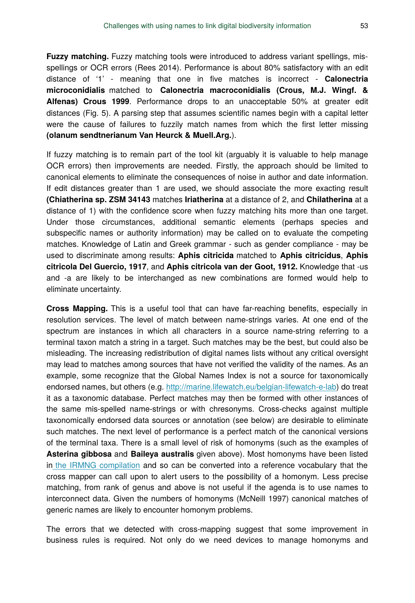**Fuzzy matching.** Fuzzy matching tools were introduced to address variant spellings, misspellings or OCR errors (Rees 2014). Performance is about 80% satisfactory with an edit distance of '1' - meaning that one in five matches is incorrect - **Calonectria microconidialis** matched to **Calonectria macroconidialis (Crous, M.J. Wingf. & Alfenas) Crous 1999**. Performance drops to an unacceptable 50% at greater edit distances (Fig. 5). A parsing step that assumes scientific names begin with a capital letter were the cause of failures to fuzzily match names from which the first letter missing **(olanum sendtnerianum Van Heurck & Muell.Arg.**).

If fuzzy matching is to remain part of the tool kit (arguably it is valuable to help manage OCR errors) then improvements are needed. Firstly, the approach should be limited to canonical elements to eliminate the consequences of noise in author and date information. If edit distances greater than 1 are used, we should associate the more exacting result **(Chiatherina sp. ZSM 34143** matches **Iriatherina** at a distance of 2, and **Chilatherina** at a distance of 1) with the confidence score when fuzzy matching hits more than one target. Under those circumstances, additional semantic elements (perhaps species and subspecific names or authority information) may be called on to evaluate the competing matches. Knowledge of Latin and Greek grammar - such as gender compliance - may be used to discriminate among results: **Aphis citricida** matched to **Aphis citricidus**, **Aphis citricola Del Guercio, 1917**, and **Aphis citricola van der Goot, 1912.** Knowledge that -us and -a are likely to be interchanged as new combinations are formed would help to eliminate uncertainty.

**Cross Mapping.** This is a useful tool that can have far-reaching benefits, especially in resolution services. The level of match between name-strings varies. At one end of the spectrum are instances in which all characters in a source name-string referring to a terminal taxon match a string in a target. Such matches may be the best, but could also be misleading. The increasing redistribution of digital names lists without any critical oversight may lead to matches among sources that have not verified the validity of the names. As an example, some recognize that the Global Names Index is not a source for taxonomically endorsed names, but others (e.g.<http://marine.lifewatch.eu/belgian-lifewatch-e-lab>) do treat it as a taxonomic database. Perfect matches may then be formed with other instances of the same mis-spelled name-strings or with chresonyms. Cross-checks against multiple taxonomically endorsed data sources or annotation (see below) are desirable to eliminate such matches. The next level of performance is a perfect match of the canonical versions of the terminal taxa. There is a small level of risk of homonyms (such as the examples of **Asterina gibbosa** and **Baileya australis** given above). Most homonyms have been listed i[n the IRMNG compilation](http://www.cmar.csiro.au/datacentre/irmng/homonyms.htm) and so can be converted into a reference vocabulary that the cross mapper can call upon to alert users to the possibility of a homonym. Less precise matching, from rank of genus and above is not useful if the agenda is to use names to interconnect data. Given the numbers of homonyms (McNeill 1997) canonical matches of generic names are likely to encounter homonym problems.

The errors that we detected with cross-mapping suggest that some improvement in business rules is required. Not only do we need devices to manage homonyms and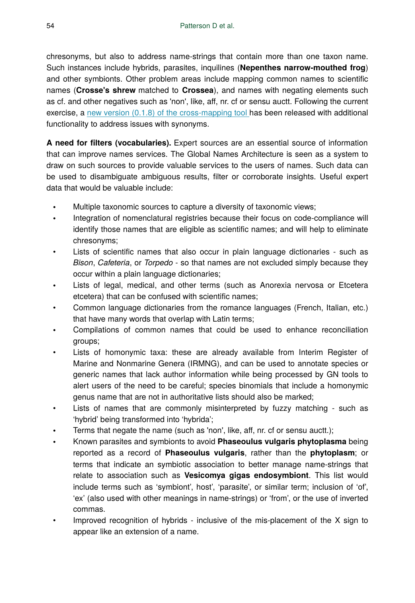chresonyms, but also to address name-strings that contain more than one taxon name. Such instances include hybrids, parasites, inquilines (**Nepenthes narrow-mouthed frog**) and other symbionts. Other problem areas include mapping common names to scientific names (**Crosse's shrew** matched to **Crossea**), and names with negating elements such as cf. and other negatives such as 'non', like, aff, nr. cf or sensu auctt. Following the current exercise, a [new version \(0.1.8\) of the cross-mapping tool](https://github.com/GlobalNamesArchitecture/gn_crossmap/releases/tag/v0.1.8) has been released with additional functionality to address issues with synonyms.

**A need for filters (vocabularies).** Expert sources are an essential source of information that can improve names services. The Global Names Architecture is seen as a system to draw on such sources to provide valuable services to the users of names. Such data can be used to disambiguate ambiguous results, filter or corroborate insights. Useful expert data that would be valuable include:

- Multiple taxonomic sources to capture a diversity of taxonomic views;
- Integration of nomenclatural registries because their focus on code-compliance will identify those names that are eligible as scientific names; and will help to eliminate chresonyms;
- Lists of scientific names that also occur in plain language dictionaries such as *Bison*, *Cafeteria*, or *Torpedo* - so that names are not excluded simply because they occur within a plain language dictionaries;
- Lists of legal, medical, and other terms (such as Anorexia nervosa or Etcetera etcetera) that can be confused with scientific names;
- Common language dictionaries from the romance languages (French, Italian, etc.) that have many words that overlap with Latin terms;
- Compilations of common names that could be used to enhance reconciliation groups;
- Lists of homonymic taxa: these are already available from Interim Register of Marine and Nonmarine Genera (IRMNG), and can be used to annotate species or generic names that lack author information while being processed by GN tools to alert users of the need to be careful; species binomials that include a homonymic genus name that are not in authoritative lists should also be marked;
- Lists of names that are commonly misinterpreted by fuzzy matching such as 'hybrid' being transformed into 'hybrida';
- Terms that negate the name (such as 'non', like, aff, nr. cf or sensu auctt.);
- Known parasites and symbionts to avoid **Phaseoulus vulgaris phytoplasma** being reported as a record of **Phaseoulus vulgaris**, rather than the **phytoplasm**; or terms that indicate an symbiotic association to better manage name-strings that relate to association such as **Vesicomya gigas endosymbiont**. This list would include terms such as 'symbiont', host', 'parasite', or similar term; inclusion of 'of', 'ex' (also used with other meanings in name-strings) or 'from', or the use of inverted commas.
- Improved recognition of hybrids inclusive of the mis-placement of the X sign to appear like an extension of a name.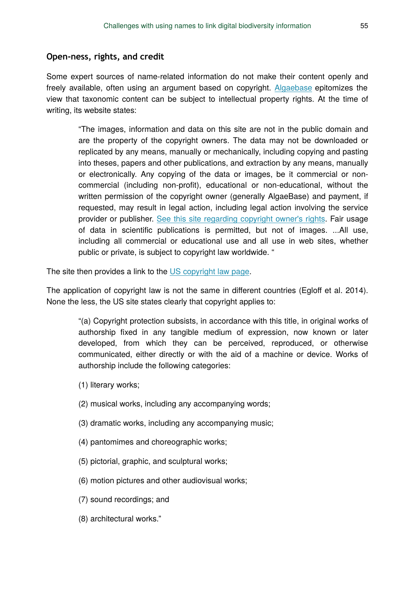#### **Open-ness, rights, and credit**

Some expert sources of name-related information do not make their content openly and freely available, often using an argument based on copyright. [Algaebase](http://www.algaebase.org/) epitomizes the view that taxonomic content can be subject to intellectual property rights. At the time of writing, its website states:

"The images, information and data on this site are not in the public domain and are the property of the copyright owners. The data may not be downloaded or replicated by any means, manually or mechanically, including copying and pasting into theses, papers and other publications, and extraction by any means, manually or electronically. Any copying of the data or images, be it commercial or noncommercial (including non-profit), educational or non-educational, without the written permission of the copyright owner (generally AlgaeBase) and payment, if requested, may result in legal action, including legal action involving the service provider or publisher. [See this site regarding copyright owner's rights.](http://www.copyright.gov/) Fair usage of data in scientific publications is permitted, but not of images. ...All use, including all commercial or educational use and all use in web sites, whether public or private, is subject to copyright law worldwide. "

The site then provides a link to the [US copyright law page](http://www.copyright.gov/).

The application of copyright law is not the same in different countries (Egloff et al. 2014). None the less, the US site states clearly that copyright applies to:

"(a) Copyright protection subsists, in accordance with this title, in original works of authorship fixed in any tangible medium of expression, now known or later developed, from which they can be perceived, reproduced, or otherwise communicated, either directly or with the aid of a machine or device. Works of authorship include the following categories:

- (1) literary works;
- (2) musical works, including any accompanying words;
- (3) dramatic works, including any accompanying music;
- (4) pantomimes and choreographic works;
- (5) pictorial, graphic, and sculptural works;
- (6) motion pictures and other audiovisual works;
- (7) sound recordings; and
- (8) architectural works."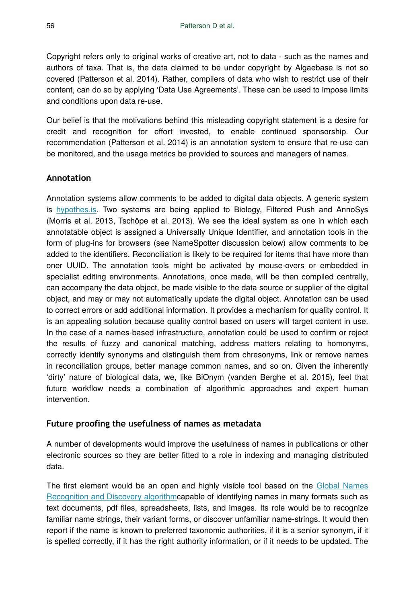Copyright refers only to original works of creative art, not to data - such as the names and authors of taxa. That is, the data claimed to be under copyright by Algaebase is not so covered (Patterson et al. 2014). Rather, compilers of data who wish to restrict use of their content, can do so by applying 'Data Use Agreements'. These can be used to impose limits and conditions upon data re-use.

Our belief is that the motivations behind this misleading copyright statement is a desire for credit and recognition for effort invested, to enable continued sponsorship. Our recommendation (Patterson et al. 2014) is an annotation system to ensure that re-use can be monitored, and the usage metrics be provided to sources and managers of names.

# **Annotation**

Annotation systems allow comments to be added to digital data objects. A generic system is [hypothes.is.](https://hypothes.is/) Two systems are being applied to Biology, Filtered Push and AnnoSys (Morris et al. 2013, Tschöpe et al. 2013). We see the ideal system as one in which each annotatable object is assigned a Universally Unique Identifier, and annotation tools in the form of plug-ins for browsers (see NameSpotter discussion below) allow comments to be added to the identifiers. Reconciliation is likely to be required for items that have more than oner UUID. The annotation tools might be activated by mouse-overs or embedded in specialist editing environments. Annotations, once made, will be then compiled centrally, can accompany the data object, be made visible to the data source or supplier of the digital object, and may or may not automatically update the digital object. Annotation can be used to correct errors or add additional information. It provides a mechanism for quality control. It is an appealing solution because quality control based on users will target content in use. In the case of a names-based infrastructure, annotation could be used to confirm or reject the results of fuzzy and canonical matching, address matters relating to homonyms, correctly identify synonyms and distinguish them from chresonyms, link or remove names in reconciliation groups, better manage common names, and so on. Given the inherently 'dirty' nature of biological data, we, like BiOnym (vanden Berghe et al. 2015), feel that future workflow needs a combination of algorithmic approaches and expert human intervention.

# **Future proofing the usefulness of names as metadata**

A number of developments would improve the usefulness of names in publications or other electronic sources so they are better fitted to a role in indexing and managing distributed data.

The first element would be an open and highly visible tool based on the [Global Names](http://gnrd.globalnames.org/) [Recognition and Discovery algorithm](http://gnrd.globalnames.org/)capable of identifying names in many formats such as text documents, pdf files, spreadsheets, lists, and images. Its role would be to recognize familiar name strings, their variant forms, or discover unfamiliar name-strings. It would then report if the name is known to preferred taxonomic authorities, if it is a senior synonym, if it is spelled correctly, if it has the right authority information, or if it needs to be updated. The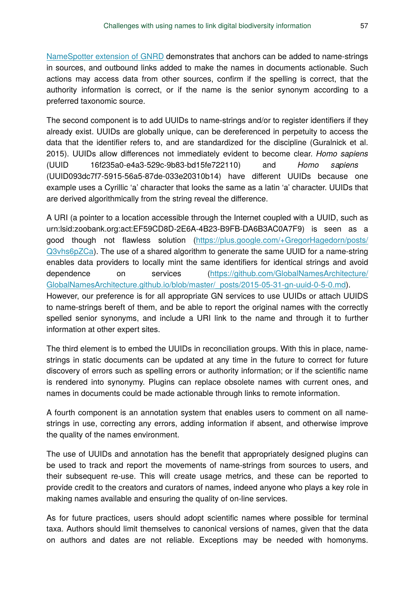[NameSpotter extension of GNRD](https://chrome.google.com/webstore/detail/pogmooobpbggadhlleijfpjgnpkjdnhn) demonstrates that anchors can be added to name-strings in sources, and outbound links added to make the names in documents actionable. Such actions may access data from other sources, confirm if the spelling is correct, that the authority information is correct, or if the name is the senior synonym according to a preferred taxonomic source.

The second component is to add UUIDs to name-strings and/or to register identifiers if they already exist. UUIDs are globally unique, can be dereferenced in perpetuity to access the data that the identifier refers to, and are standardized for the discipline (Guralnick et al. 2015). UUIDs allow differences not immediately evident to become clear. *Homo sapiens* (UUID 16f235a0-e4a3-529c-9b83-bd15fe722110) and *Homo sаpiens* (UUID093dc7f7-5915-56a5-87de-033e20310b14) have different UUIDs because one example uses a Cyrillic 'a' character that looks the same as a latin 'a' character. UUIDs that are derived algorithmically from the string reveal the difference.

A URI (a pointer to a location accessible through the Internet coupled with a UUID, such as urn:lsid:zoobank.org:act:EF59CD8D-2E6A-4B23-B9FB-DA6B3AC0A7F9) is seen as a good though not flawless solution [\(https://plus.google.com/+GregorHagedorn/posts/](https://plus.google.com/+GregorHagedorn/posts/Q3vhs6pZCa) [Q3vhs6pZCa](https://plus.google.com/+GregorHagedorn/posts/Q3vhs6pZCa)). The use of a shared algorithm to generate the same UUID for a name-string enables data providers to locally mint the same identifiers for identical strings and avoid dependence on services [\(https://github.com/GlobalNamesArchitecture/](https://github.com/GlobalNamesArchitecture/GlobalNamesArchitecture.github.io/blob/master/_posts/2015-05-31-gn-uuid-0-5-0.md) [GlobalNamesArchitecture.github.io/blob/master/\\_posts/2015-05-31-gn-uuid-0-5-0.md\)](https://github.com/GlobalNamesArchitecture/GlobalNamesArchitecture.github.io/blob/master/_posts/2015-05-31-gn-uuid-0-5-0.md). However, our preference is for all appropriate GN services to use UUIDs or attach UUIDS to name-strings bereft of them, and be able to report the original names with the correctly spelled senior synonyms, and include a URI link to the name and through it to further information at other expert sites.

The third element is to embed the UUIDs in reconciliation groups. With this in place, namestrings in static documents can be updated at any time in the future to correct for future discovery of errors such as spelling errors or authority information; or if the scientific name is rendered into synonymy. Plugins can replace obsolete names with current ones, and names in documents could be made actionable through links to remote information.

A fourth component is an annotation system that enables users to comment on all namestrings in use, correcting any errors, adding information if absent, and otherwise improve the quality of the names environment.

The use of UUIDs and annotation has the benefit that appropriately designed plugins can be used to track and report the movements of name-strings from sources to users, and their subsequent re-use. This will create usage metrics, and these can be reported to provide credit to the creators and curators of names, indeed anyone who plays a key role in making names available and ensuring the quality of on-line services.

As for future practices, users should adopt scientific names where possible for terminal taxa. Authors should limit themselves to canonical versions of names, given that the data on authors and dates are not reliable. Exceptions may be needed with homonyms.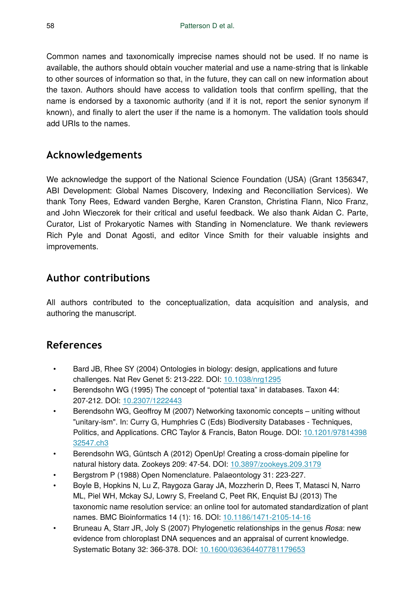Common names and taxonomically imprecise names should not be used. If no name is available, the authors should obtain voucher material and use a name-string that is linkable to other sources of information so that, in the future, they can call on new information about the taxon. Authors should have access to validation tools that confirm spelling, that the name is endorsed by a taxonomic authority (and if it is not, report the senior synonym if known), and finally to alert the user if the name is a homonym. The validation tools should add URIs to the names.

# **Acknowledgements**

We acknowledge the support of the National Science Foundation (USA) (Grant 1356347, ABI Development: Global Names Discovery, Indexing and Reconciliation Services). We thank Tony Rees, Edward vanden Berghe, Karen Cranston, Christina Flann, Nico Franz, and John Wieczorek for their critical and useful feedback. We also thank Aidan C. Parte, Curator, List of Prokaryotic Names with Standing in Nomenclature. We thank reviewers Rich Pyle and Donat Agosti, and editor Vince Smith for their valuable insights and improvements.

# **Author contributions**

All authors contributed to the conceptualization, data acquisition and analysis, and authoring the manuscript.

# **References**

- Bard JB, Rhee SY (2004) Ontologies in biology: design, applications and future challenges. Nat Rev Genet 5: 213‑222. DOI: [10.1038/nrg1295](http://dx.doi.org/10.1038/nrg1295)
- Berendsohn WG (1995) The concept of "potential taxa" in databases. Taxon 44: 207‑212. DOI: [10.2307/1222443](http://dx.doi.org/10.2307/1222443)
- Berendsohn WG, Geoffroy M (2007) Networking taxonomic concepts uniting without "unitary-ism". In: Curry G, Humphries C (Eds) Biodiversity Databases - Techniques, Politics, and Applications. CRC Taylor & Francis, Baton Rouge. DOI: [10.1201/97814398](http://dx.doi.org/10.1201/9781439832547.ch3) [32547.ch3](http://dx.doi.org/10.1201/9781439832547.ch3)
- Berendsohn WG, Güntsch A (2012) OpenUp! Creating a cross-domain pipeline for natural history data. Zookeys 209: 47‑54. DOI: [10.3897/zookeys.209.3179](http://dx.doi.org/10.3897/zookeys.209.3179)
- Bergstrom P (1988) Open Nomenclature. Palaeontology 31: 223‑227.
- Boyle B, Hopkins N, Lu Z, Raygoza Garay JA, Mozzherin D, Rees T, Matasci N, Narro ML, Piel WH, Mckay SJ, Lowry S, Freeland C, Peet RK, Enquist BJ (2013) The taxonomic name resolution service: an online tool for automated standardization of plant names. BMC Bioinformatics 14 (1): 16. DOI: [10.1186/1471-2105-14-16](http://dx.doi.org/10.1186/1471-2105-14-16)
- Bruneau A, Starr JR, Joly S (2007) Phylogenetic relationships in the genus *Rosa*: new evidence from chloroplast DNA sequences and an appraisal of current knowledge. Systematic Botany 32: 366‑378. DOI: [10.1600/036364407781179653](http://dx.doi.org/10.1600/036364407781179653)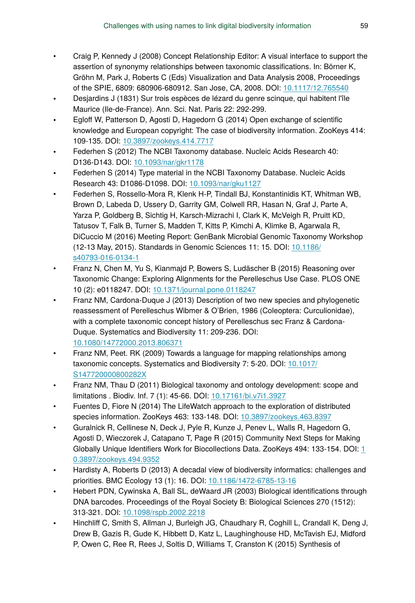- Craig P, Kennedy J (2008) Concept Relationship Editor: A visual interface to support the assertion of synonymy relationships between taxonomic classifications. In: Börner K, Gröhn M, Park J, Roberts C (Eds) Visualization and Data Analysis 2008, Proceedings of the SPIE, 6809: 680906-680912. San Jose, CA, 2008. DOI: [10.1117/12.765540](http://dx.doi.org/10.1117/12.765540)
- Desjardins J (1831) Sur trois espèces de lézard du genre scinque, qui habitent l'île Maurice (Ile-de-France). Ann. Sci. Nat. Paris 22: 292‑299.
- Egloff W, Patterson D, Agosti D, Hagedorn G (2014) Open exchange of scientific knowledge and European copyright: The case of biodiversity information. ZooKeys 414: 109‑135. DOI: [10.3897/zookeys.414.7717](http://dx.doi.org/10.3897/zookeys.414.7717)
- Federhen S (2012) The NCBI Taxonomy database. Nucleic Acids Research 40: D136‑D143. DOI: [10.1093/nar/gkr1178](http://dx.doi.org/10.1093/nar/gkr1178)
- Federhen S (2014) Type material in the NCBI Taxonomy Database. Nucleic Acids Research 43: D1086‑D1098. DOI: [10.1093/nar/gku1127](http://dx.doi.org/10.1093/nar/gku1127)
- Federhen S, Rossello-Mora R, Klenk H-P, Tindall BJ, Konstantinidis KT, Whitman WB, Brown D, Labeda D, Ussery D, Garrity GM, Colwell RR, Hasan N, Graf J, Parte A, Yarza P, Goldberg B, Sichtig H, Karsch-Mizrachi I, Clark K, McVeigh R, Pruitt KD, Tatusov T, Falk B, Turner S, Madden T, Kitts P, Kimchi A, Klimke B, Agarwala R, DiCuccio M (2016) Meeting Report: GenBank Microbial Genomic Taxonomy Workshop (12-13 May, 2015). Standards in Genomic Sciences 11: 15. DOI: [10.1186/](http://dx.doi.org/10.1186/s40793-016-0134-1) [s40793-016-0134-1](http://dx.doi.org/10.1186/s40793-016-0134-1)
- Franz N, Chen M, Yu S, Kianmajd P, Bowers S, Ludäscher B (2015) Reasoning over Taxonomic Change: Exploring Alignments for the Perelleschus Use Case. PLOS ONE 10 (2): e0118247. DOI: [10.1371/journal.pone.0118247](http://dx.doi.org/10.1371/journal.pone.0118247)
- Franz NM, Cardona-Duque J (2013) Description of two new species and phylogenetic reassessment of Perelleschus Wibmer & O'Brien, 1986 (Coleoptera: Curculionidae), with a complete taxonomic concept history of Perelleschus sec Franz & Cardona-Duque. Systematics and Biodiversity 11: 209‑236. DOI: [10.1080/14772000.2013.806371](http://dx.doi.org/10.1080/14772000.2013.806371)
- Franz NM, Peet. RK (2009) Towards a language for mapping relationships among taxonomic concepts. Systematics and Biodiversity 7: 5‑20. DOI: [10.1017/](http://dx.doi.org/10.1017/S147720000800282X) [S147720000800282X](http://dx.doi.org/10.1017/S147720000800282X)
- Franz NM, Thau D (2011) Biological taxonomy and ontology development: scope and limitations . Biodiv. Inf. 7 (1): 45‑66. DOI: [10.17161/bi.v7i1.3927](http://dx.doi.org/10.17161/bi.v7i1.3927)
- Fuentes D, Fiore N (2014) The LifeWatch approach to the exploration of distributed species information. ZooKeys 463: 133‑148. DOI: [10.3897/zookeys.463.8397](http://dx.doi.org/10.3897/zookeys.463.8397)
- Guralnick R, Cellinese N, Deck J, Pyle R, Kunze J, Penev L, Walls R, Hagedorn G, Agosti D, Wieczorek J, Catapano T, Page R (2015) Community Next Steps for Making Globally Unique Identifiers Work for Biocollections Data. ZooKeys 494: [1](http://dx.doi.org/10.3897/zookeys.494.9352)33-154. DOI: 1 [0.3897/zookeys.494.9352](http://dx.doi.org/10.3897/zookeys.494.9352)
- Hardisty A, Roberts D (2013) A decadal view of biodiversity informatics: challenges and priorities. BMC Ecology 13 (1): 16. DOI: [10.1186/1472-6785-13-16](http://dx.doi.org/10.1186/1472-6785-13-16)
- Hebert PDN, Cywinska A, Ball SL, deWaard JR (2003) Biological identifications through DNA barcodes. Proceedings of the Royal Society B: Biological Sciences 270 (1512): 313‑321. DOI: [10.1098/rspb.2002.2218](http://dx.doi.org/10.1098/rspb.2002.2218)
- Hinchliff C, Smith S, Allman J, Burleigh JG, Chaudhary R, Coghill L, Crandall K, Deng J, Drew B, Gazis R, Gude K, Hibbett D, Katz L, Laughinghouse HD, McTavish EJ, Midford P, Owen C, Ree R, Rees J, Soltis D, Williams T, Cranston K (2015) Synthesis of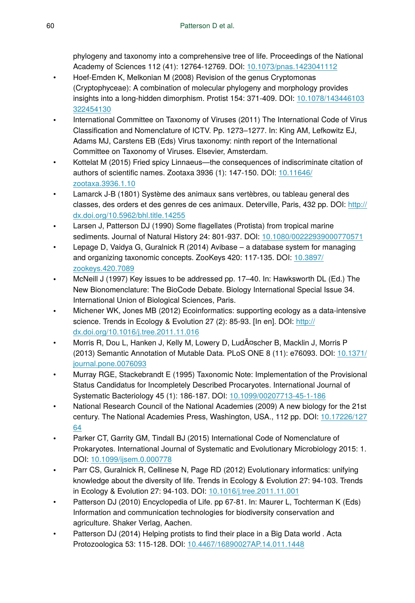phylogeny and taxonomy into a comprehensive tree of life. Proceedings of the National Academy of Sciences 112 (41): 12764‑12769. DOI: [10.1073/pnas.1423041112](http://dx.doi.org/10.1073/pnas.1423041112)

- Hoef-Emden K, Melkonian M (2008) Revision of the genus Cryptomonas (Cryptophyceae): A combination of molecular phylogeny and morphology provides insights into a long-hidden dimorphism. Protist 154: 371‑409. DOI: [10.1078/143446103](http://dx.doi.org/10.1078/143446103322454130) [322454130](http://dx.doi.org/10.1078/143446103322454130)
- International Committee on Taxonomy of Viruses (2011) The International Code of Virus Classification and Nomenclature of ICTV. Pp. 1273–1277. In: King AM, Lefkowitz EJ, Adams MJ, Carstens EB (Eds) Virus taxonomy: ninth report of the International Committee on Taxonomy of Viruses. Elsevier, Amsterdam.
- Kottelat M (2015) Fried spicy Linnaeus—the consequences of indiscriminate citation of authors of scientific names. Zootaxa 3936 (1): 147‑150. DOI: [10.11646/](http://dx.doi.org/10.11646/zootaxa.3936.1.10) [zootaxa.3936.1.10](http://dx.doi.org/10.11646/zootaxa.3936.1.10)
- Lamarck J-B (1801) Système des animaux sans vertèbres, ou tableau general des classes, des orders et des genres de ces animaux. Deterville, Paris, 432 pp. DOI: [http://](http://dx.doi.org/http://dx.doi.org/10.5962/bhl.title.14255) [dx.doi.org/10.5962/bhl.title.14255](http://dx.doi.org/http://dx.doi.org/10.5962/bhl.title.14255)
- Larsen J, Patterson DJ (1990) Some flagellates (Protista) from tropical marine sediments. Journal of Natural History 24: 801‑937. DOI: [10.1080/00222939000770571](http://dx.doi.org/10.1080/00222939000770571)
- Lepage D, Vaidya G, Guralnick R (2014) Avibase a database system for managing and organizing taxonomic concepts. ZooKeys 420: 117‑135. DOI: [10.3897/](http://dx.doi.org/10.3897/zookeys.420.7089) [zookeys.420.7089](http://dx.doi.org/10.3897/zookeys.420.7089)
- McNeill J (1997) Key issues to be addressed pp. 17–40. In: Hawksworth DL (Ed.) The New Bionomenclature: The BioCode Debate. Biology International Special Issue 34. International Union of Biological Sciences, Paris.
- Michener WK, Jones MB (2012) Ecoinformatics: supporting ecology as a data-intensive science. Trends in Ecology & Evolution 27 (2): 85-93. [In en]. DOI: [http://](http://dx.doi.org/http://dx.doi.org/10.1016/j.tree.2011.11.016) [dx.doi.org/10.1016/j.tree.2011.11.016](http://dx.doi.org/http://dx.doi.org/10.1016/j.tree.2011.11.016)
- Morris R, Dou L, Hanken J, Kelly M, Lowery D, Ludäscher B, Macklin J, Morris P (2013) Semantic Annotation of Mutable Data. PLoS ONE 8 (11): e76093. DOI: [10.1371/](http://dx.doi.org/10.1371/journal.pone.0076093) [journal.pone.0076093](http://dx.doi.org/10.1371/journal.pone.0076093)
- Murray RGE, Stackebrandt E (1995) Taxonomic Note: Implementation of the Provisional Status Candidatus for Incompletely Described Procaryotes. International Journal of Systematic Bacteriology 45 (1): 186‑187. DOI: [10.1099/00207713-45-1-186](http://dx.doi.org/10.1099/00207713-45-1-186)
- National Research Council of the National Academies (2009) A new biology for the 21st century. The National Academies Press, Washington, USA., 112 pp. DOI: [10.17226/127](http://dx.doi.org/10.17226/12764) [64](http://dx.doi.org/10.17226/12764)
- Parker CT, Garrity GM, Tindall BJ (2015) International Code of Nomenclature of Prokaryotes. International Journal of Systematic and Evolutionary Microbiology 2015: 1. DOI: [10.1099/ijsem.0.000778](http://dx.doi.org/10.1099/ijsem.0.000778)
- Parr CS, Guralnick R, Cellinese N, Page RD (2012) Evolutionary informatics: unifying knowledge about the diversity of life. Trends in Ecology & Evolution 27: 94-103. Trends in Ecology & Evolution 27: 94‑103. DOI: [10.1016/j.tree.2011.11.001](http://dx.doi.org/10.1016/j.tree.2011.11.001)
- Patterson DJ (2010) Encyclopedia of Life. pp 67-81. In: Maurer L, Tochterman K (Eds) Information and communication technologies for biodiversity conservation and agriculture. Shaker Verlag, Aachen.
- Patterson DJ (2014) Helping protists to find their place in a Big Data world . Acta Protozoologica 53: 115‑128. DOI: [10.4467/16890027AP.14.011.1448](http://dx.doi.org/10.4467/16890027AP.14.011.1448)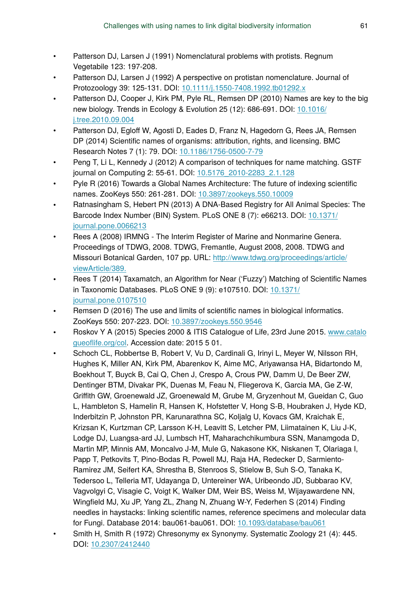- Patterson DJ, Larsen J (1991) Nomenclatural problems with protists. Regnum Vegetabile 123: 197‑208.
- Patterson DJ, Larsen J (1992) A perspective on protistan nomenclature. Journal of Protozoology 39: 125‑131. DOI: [10.1111/j.1550-7408.1992.tb01292.x](http://dx.doi.org/10.1111/j.1550-7408.1992.tb01292.x)
- Patterson DJ, Cooper J, Kirk PM, Pyle RL, Remsen DP (2010) Names are key to the big new biology. Trends in Ecology & Evolution 25 (12): 686‑691. DOI: [10.1016/](http://dx.doi.org/10.1016/j.tree.2010.09.004) [j.tree.2010.09.004](http://dx.doi.org/10.1016/j.tree.2010.09.004)
- Patterson DJ, Egloff W, Agosti D, Eades D, Franz N, Hagedorn G, Rees JA, Remsen DP (2014) Scientific names of organisms: attribution, rights, and licensing. BMC Research Notes 7 (1): 79. DOI: [10.1186/1756-0500-7-79](http://dx.doi.org/10.1186/1756-0500-7-79)
- Peng T, Li L, Kennedy J (2012) A comparison of techniques for name matching. GSTF journal on Computing 2: 55‑61. DOI: [10.5176\\_2010-2283\\_2.1.128](http://dx.doi.org/10.5176_2010-2283_2.1.128)
- Pyle R (2016) Towards a Global Names Architecture: The future of indexing scientific names. ZooKeys 550: 261‑281. DOI: [10.3897/zookeys.550.10009](http://dx.doi.org/10.3897/zookeys.550.10009)
- Ratnasingham S, Hebert PN (2013) A DNA-Based Registry for All Animal Species: The Barcode Index Number (BIN) System. PLoS ONE 8 (7): e66213. DOI: [10.1371/](http://dx.doi.org/10.1371/journal.pone.0066213) [journal.pone.0066213](http://dx.doi.org/10.1371/journal.pone.0066213)
- Rees A (2008) IRMNG The Interim Register of Marine and Nonmarine Genera. Proceedings of TDWG, 2008. TDWG, Fremantle, August 2008, 2008. TDWG and Missouri Botanical Garden, 107 pp. URL: [http://www.tdwg.org/proceedings/article/](http://www.tdwg.org/proceedings/article/viewArticle/389.) [viewArticle/389.](http://www.tdwg.org/proceedings/article/viewArticle/389.)
- Rees T (2014) Taxamatch, an Algorithm for Near ('Fuzzy') Matching of Scientific Names in Taxonomic Databases. PLoS ONE 9 (9): e107510. DOI: [10.1371/](http://dx.doi.org/10.1371/journal.pone.0107510) [journal.pone.0107510](http://dx.doi.org/10.1371/journal.pone.0107510)
- Remsen D (2016) The use and limits of scientific names in biological informatics. ZooKeys 550: 207‑223. DOI: [10.3897/zookeys.550.9546](http://dx.doi.org/10.3897/zookeys.550.9546)
- Roskov Y A (2015) Species 2000 & ITIS Catalogue of Life, 23rd June 2015. [www.catalo](http://www.catalogueoflife.org/col) gueofl[ife.org/col.](http://www.catalogueoflife.org/col) Accession date: 2015 5 01.
- Schoch CL, Robbertse B, Robert V, Vu D, Cardinali G, Irinyi L, Meyer W, Nilsson RH, Hughes K, Miller AN, Kirk PM, Abarenkov K, Aime MC, Ariyawansa HA, Bidartondo M, Boekhout T, Buyck B, Cai Q, Chen J, Crespo A, Crous PW, Damm U, De Beer ZW, Dentinger BTM, Divakar PK, Duenas M, Feau N, Fliegerova K, Garcia MA, Ge Z-W, Griffith GW, Groenewald JZ, Groenewald M, Grube M, Gryzenhout M, Gueidan C, Guo L, Hambleton S, Hamelin R, Hansen K, Hofstetter V, Hong S-B, Houbraken J, Hyde KD, Inderbitzin P, Johnston PR, Karunarathna SC, Koljalg U, Kovacs GM, Kraichak E, Krizsan K, Kurtzman CP, Larsson K-H, Leavitt S, Letcher PM, Liimatainen K, Liu J-K, Lodge DJ, Luangsa-ard JJ, Lumbsch HT, Maharachchikumbura SSN, Manamgoda D, Martin MP, Minnis AM, Moncalvo J-M, Mule G, Nakasone KK, Niskanen T, Olariaga I, Papp T, Petkovits T, Pino-Bodas R, Powell MJ, Raja HA, Redecker D, Sarmiento-Ramirez JM, Seifert KA, Shrestha B, Stenroos S, Stielow B, Suh S-O, Tanaka K, Tedersoo L, Telleria MT, Udayanga D, Untereiner WA, Uribeondo JD, Subbarao KV, Vagvolgyi C, Visagie C, Voigt K, Walker DM, Weir BS, Weiss M, Wijayawardene NN, Wingfield MJ, Xu JP, Yang ZL, Zhang N, Zhuang W-Y, Federhen S (2014) Finding needles in haystacks: linking scientific names, reference specimens and molecular data for Fungi. Database 2014: bau061‑bau061. DOI: [10.1093/database/bau061](http://dx.doi.org/10.1093/database/bau061)
- Smith H, Smith R (1972) Chresonymy ex Synonymy. Systematic Zoology 21 (4): 445. DOI: [10.2307/2412440](http://dx.doi.org/10.2307/2412440)